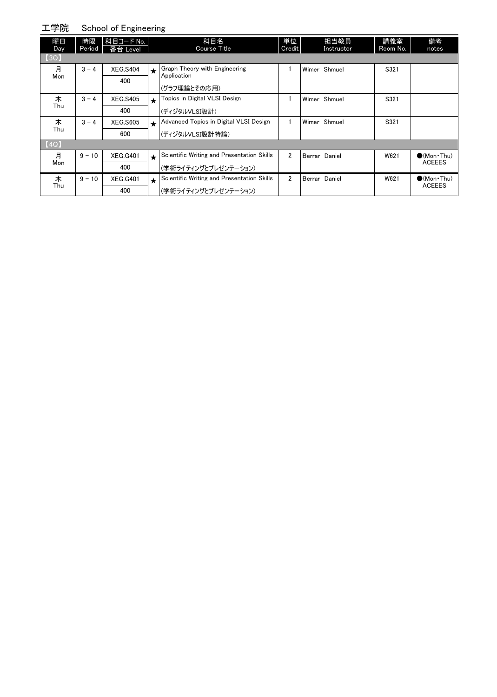#### 工学院 School of Engineering

| 曜日   | 時限       | 科目コード No.       |         | 科目名                                          | 単位             | 担当教員          | 講義室      | 備考                                    |
|------|----------|-----------------|---------|----------------------------------------------|----------------|---------------|----------|---------------------------------------|
| Day  | Period   | 番台 Level        |         | <b>Course Title</b>                          | Credit         | Instructor    | Room No. | notes                                 |
| [3Q] |          |                 |         |                                              |                |               |          |                                       |
| 月    | $3 - 4$  | <b>XEG.S404</b> | $\star$ | Graph Theory with Engineering<br>Application |                | Wimer Shmuel  | S321     |                                       |
| Mon  |          | 400             |         |                                              |                |               |          |                                       |
|      |          |                 |         | (グラフ理論とその応用)                                 |                |               |          |                                       |
| 木    | $3 - 4$  | <b>XEG.S405</b> | $\star$ | Topics in Digital VLSI Design                |                | Wimer Shmuel  | S321     |                                       |
| Thu  |          | 400             |         | (ディジタルVLSI設計)                                |                |               |          |                                       |
| 木    | $3 - 4$  | <b>XEG.S605</b> | $\star$ | Advanced Topics in Digital VLSI Design       |                | Wimer Shmuel  | S321     |                                       |
| Thu  |          | 600             |         | (ディジタルVLSI設計特論)                              |                |               |          |                                       |
| [4Q] |          |                 |         |                                              |                |               |          |                                       |
| 月    | $9 - 10$ | <b>XEG.G401</b> | $\star$ | Scientific Writing and Presentation Skills   | $\overline{2}$ | Berrar Daniel | W621     | $\bigcirc$ (Mon Thu)<br><b>ACEEES</b> |
| Mon  |          | 400             |         | (学術ライティングとプレゼンテーション)                         |                |               |          |                                       |
| 木    | $9 - 10$ | <b>XEG.G401</b> | $\star$ | Scientific Writing and Presentation Skills   | 2              | Berrar Daniel | W621     | $\bullet$ (Mon Thu)                   |
| Thu  |          | 400             |         | (学術ライティングとプレゼンテーション)                         |                |               |          | <b>ACEEES</b>                         |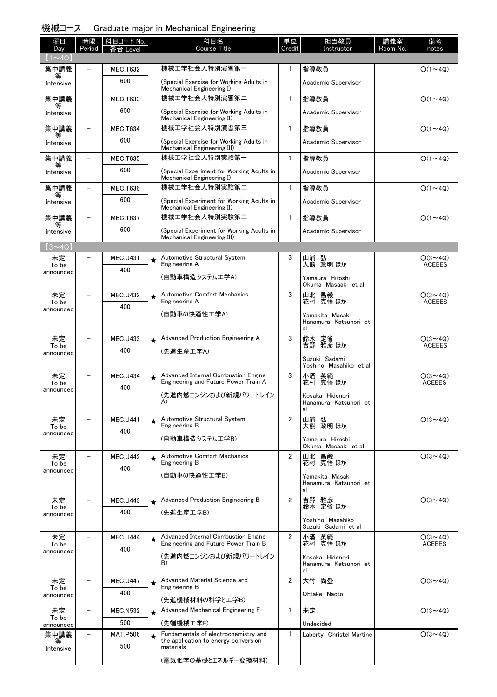### 機械コース Graduate major in Mechanical Engineering

| 曜日                       | 時限                       | 科目コード No.              |         | 科目名                                                                          | 単位             | 担当教員                                           | 講義室      | 備考                              |
|--------------------------|--------------------------|------------------------|---------|------------------------------------------------------------------------------|----------------|------------------------------------------------|----------|---------------------------------|
| Day<br>$(1 - 40)$        | Period                   | Level                  |         | <b>Course Title</b>                                                          | Credit         | Instructor                                     | Room No. | notes                           |
| 集中講義                     |                          | <b>MEC.T632</b>        |         | 機械工学社会人特別演習第一                                                                | $\mathbf{1}$   | 指導教員                                           |          | $O(1\sim 4Q)$                   |
| 等<br>Intensive           |                          | 600                    |         | (Special Exercise for Working Adults in<br>Mechanical Engineering I)         |                | Academic Supervisor                            |          |                                 |
| 集中講義                     |                          | <b>MEC.T633</b>        |         | 機械工学社会人特別演習第二                                                                | $\mathbf{1}$   | 指導教員                                           |          | $O(1\sim 4Q)$                   |
| 等<br>Intensive           |                          | 600                    |         | (Special Exercise for Working Adults in<br>Mechanical Engineering II)        |                | Academic Supervisor                            |          |                                 |
| 集中講義                     |                          | <b>MEC.T634</b>        |         | 機械工学社会人特別演習第三                                                                | $\mathbf{1}$   | 指導教員                                           |          | $O(1\sim 4Q)$                   |
| Intensive                |                          | 600                    |         | (Special Exercise for Working Adults in<br>Mechanical Engineering III)       |                | Academic Supervisor                            |          |                                 |
| 集中講義                     |                          | <b>MEC.T635</b>        |         | 機械工学社会人特別実験第一                                                                | $\mathbf{1}$   | 指導教員                                           |          | $O(1\sim 4Q)$                   |
| Intensive                |                          | 600                    |         | (Special Experiment for Working Adults in<br>Mechanical Engineering I)       |                | Academic Supervisor                            |          |                                 |
| 集中講義<br>等                |                          | <b>MEC.T636</b>        |         | 機械工学社会人特別実験第二                                                                | $\mathbf{1}$   | 指導教員                                           |          | $O(1\sim 4Q)$                   |
| Intensive                |                          | 600                    |         | (Special Experiment for Working Adults in<br>Mechanical Engineering II)      |                | Academic Supervisor                            |          |                                 |
| 集中講義<br>等                |                          | <b>MEC.T637</b>        |         | 機械工学社会人特別実験第三                                                                | $\mathbf{1}$   | 指導教員                                           |          | $O(1\sim 4Q)$                   |
| Intensive                |                          | 600                    |         | (Special Experiment for Working Adults in<br>Mechanical Engineering III)     |                | Academic Supervisor                            |          |                                 |
| $(3 \sim 4Q)$            |                          |                        |         |                                                                              |                |                                                |          |                                 |
| 未定<br>To be<br>announced |                          | <b>MEC.U431</b><br>400 | $\star$ | Automotive Structural System<br>Engineering A                                | 3              | 山浦 弘<br>大熊 政明 ほか                               |          | $O(3 \sim 4Q)$<br><b>ACEEES</b> |
|                          |                          |                        |         | (自動車構造システムエ学A)                                                               |                | Yamaura Hiroshi<br>Okuma Masaaki et al         |          |                                 |
| 未定<br>To be              |                          | <b>MEC.U432</b>        | $\star$ | Automotive Comfort Mechanics<br>Engineering A                                | 3              | 山北 昌毅<br>花村 克悟ほか                               |          | $O(3 \sim 4Q)$<br><b>ACEEES</b> |
| announced                |                          | 400                    |         | (自動車の快適性工学A)                                                                 |                | Yamakita Masaki<br>Hanamura Katsunori et<br>al |          |                                 |
| 未定                       |                          | <b>MEC.U433</b>        | $\star$ | Advanced Production Engineering A                                            | 3              | 鈴木 定省<br>吉野 雅彦 ほか                              |          | $O(3 \sim 4Q)$                  |
| To be<br>announced       |                          | 400                    |         | (先進生産工学A)                                                                    |                |                                                |          | <b>ACEEES</b>                   |
|                          |                          |                        |         |                                                                              |                | Suzuki Sadami<br>Yoshino Masahiko et al        |          |                                 |
| 未定<br>To be              | $\overline{\phantom{0}}$ | <b>MEC.U434</b>        | $\star$ | Advanced Internal Combustion Engine<br>Engineering and Future Power Train A  | 3              | 小酒 英範<br>花村 克悟 ほか                              |          | $O(3 \sim 4Q)$<br><b>ACEEES</b> |
| announced                |                          | 400                    |         | (先進内燃エンジンおよび新規パワートレイン                                                        |                | Kosaka Hidenori                                |          |                                 |
|                          |                          |                        |         | A)                                                                           |                | Hanamura Katsunori et<br>al                    |          |                                 |
| 未定<br>To be              |                          | <b>MEC.U441</b>        | $\star$ | Automotive Structural System<br>Engineering B                                | $\overline{2}$ | 山浦 弘<br>大熊 政明 ほか                               |          | $O(3 \sim 4Q)$                  |
| announced                |                          | 400                    |         | (自動車構造システム工学B)                                                               |                | Yamaura Hiroshi                                |          |                                 |
|                          |                          |                        |         |                                                                              |                | Okuma Masaaki et al                            |          |                                 |
| 未定<br>To be              |                          | <b>MEC.U442</b>        |         | <b>Automotive Comfort Mechanics</b><br>Engineering B                         | $\overline{2}$ | 山北 昌毅<br>花村 克悟ほか                               |          | $O(3 \sim 4Q)$                  |
| announced                |                          | 400                    |         | (自動車の快適性工学B)                                                                 |                | Yamakita Masaki                                |          |                                 |
|                          |                          |                        |         |                                                                              |                | Hanamura Katsunori et<br>al                    |          |                                 |
| 未定                       | $\overline{\phantom{0}}$ | <b>MEC.U443</b>        | $\star$ | Advanced Production Engineering B                                            | $\overline{2}$ | 吉野 雅彦                                          |          | $O(3 \sim 4Q)$                  |
| To be<br>announced       |                          | 400                    |         | (先進生産工学B)                                                                    |                | 鈴木 定省ほか                                        |          |                                 |
|                          |                          |                        |         |                                                                              |                | Yoshino Masahiko<br>Suzuki Sadami et al        |          |                                 |
| 未定<br>To be              |                          | MEC.U444               | $\star$ | Advanced Internal Combustion Engine<br>Engineering and Future Power Train B  | $\overline{2}$ | 小酒 英範<br>花村 克悟 ほか                              |          | $O(3 \sim 4Q)$<br><b>ACEEES</b> |
| announced                |                          | 400                    |         | (先進内燃エンジンおよび新規パワートレイン                                                        |                | Kosaka Hidenori                                |          |                                 |
|                          |                          |                        |         | B)                                                                           |                | Hanamura Katsunori et<br>al                    |          |                                 |
| 未定<br>To be              |                          | <b>MEC.U447</b>        | $\star$ | Advanced Material Science and<br>Engineering B                               | $\overline{2}$ | 大竹 尚登                                          |          | $O(3 \sim 4Q)$                  |
| announced                |                          | 400                    |         | (先進機械材料の科学と工学B)                                                              |                | Ohtake Naoto                                   |          |                                 |
| 未定                       |                          | <b>MEC.N532</b>        | $\star$ | Advanced Mechanical Engineering F                                            | $\mathbf{1}$   | 未定                                             |          | $O(3 \sim 4Q)$                  |
| To be<br>announced       |                          | 500                    |         | (先端機械工学F)                                                                    |                | Undecided                                      |          |                                 |
| 集中講義<br>等                |                          | <b>MAT.P506</b>        | $\star$ | Fundamentals of electrochemistry and<br>the application to energy conversion | $\mathbf{1}$   | Laberty Christel Martine                       |          | $O(3 \sim 4Q)$                  |
| Intensive                |                          | 500                    |         | materials                                                                    |                |                                                |          |                                 |
|                          |                          |                        |         | (電気化学の基礎とエネルギー変換材料)                                                          |                |                                                |          |                                 |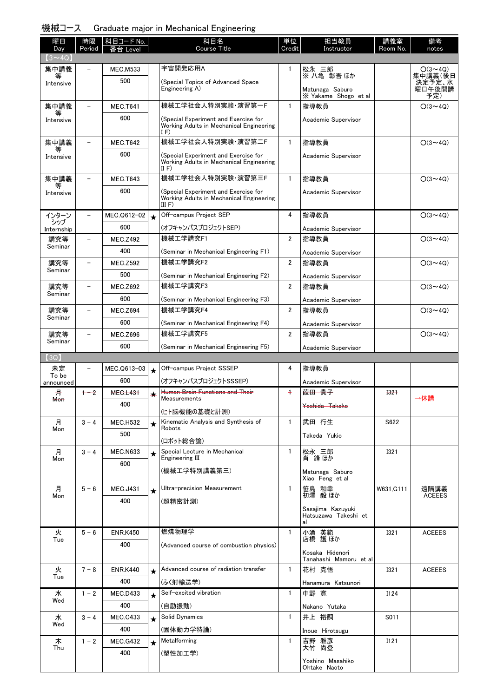#### 機械コース Graduate major in Mechanical Engineering

| 曜日                   | 時限                       | 科目コード No.              |         | 科目名<br>Course Title                                                                        | 単位             | 担当教員                                            | 講義室         | 備考                    |
|----------------------|--------------------------|------------------------|---------|--------------------------------------------------------------------------------------------|----------------|-------------------------------------------------|-------------|-----------------------|
| Day<br>$(3 \sim 4Q)$ | Period                   | 台 Level                |         |                                                                                            | Credit         | Instructor                                      | Room No.    | notes                 |
| 集中講義                 |                          | <b>MEC.M533</b>        |         | 宇宙開発応用A                                                                                    | $\mathbf{1}$   | 松永 三郎                                           |             | $O(3 \sim 4Q)$        |
| ₩<br>Intensive       |                          | 500                    |         | (Special Topics of Advanced Space                                                          |                | ※ 八亀 彰吾 ほか                                      |             | 集中講義(後日<br>決定予定、水     |
|                      |                          |                        |         | Engineering A)                                                                             |                | Matunaga Saburo<br>X Yakame Shogo et al         |             | 曜日午後開講<br>予定)         |
| 集中講義                 | $\overline{\phantom{0}}$ | <b>MEC.T641</b>        |         | 機械工学社会人特別実験·演習第一F                                                                          | $\mathbf{1}$   | 指導教員                                            |             | $O(3 \sim 4Q)$        |
| 等<br>Intensive       |                          | 600                    |         | (Special Experiment and Exercise for<br>Working Adults in Mechanical Engineering<br>IF)    |                | Academic Supervisor                             |             |                       |
| 集中講義                 | ۳                        | <b>MEC.T642</b>        |         | 機械工学社会人特別実験・演習第二F                                                                          | $\mathbf{1}$   | 指導教員                                            |             | $O(3 \sim 4Q)$        |
| 等<br>Intensive       |                          | 600                    |         | (Special Experiment and Exercise for<br>Working Adults in Mechanical Engineering<br>II $F$ |                | Academic Supervisor                             |             |                       |
| 集中講義                 |                          | <b>MEC.T643</b>        |         | 機械工学社会人特別実験・演習第三F                                                                          | $\mathbf{1}$   | 指導教員                                            |             | $O(3 \sim 4Q)$        |
| Intensive            |                          | 600                    |         | (Special Experiment and Exercise for<br>Working Adults in Mechanical Engineering<br>III F) |                | Academic Supervisor                             |             |                       |
| インターン                | $\equiv$                 | MEC.Q612-02            | $\star$ | Off-campus Project SEP                                                                     | 4              | 指導教員                                            |             | $O(3 \sim 4Q)$        |
| シップ<br>Internship    |                          | 600                    |         | (オフキャンパスプロジェクトSEP)                                                                         |                | Academic Supervisor                             |             |                       |
| 講究等<br>Seminar       |                          | <b>MEC.Z492</b>        |         | 機械工学講究F1                                                                                   | $\overline{2}$ | 指導教員                                            |             | $O(3 \sim 4Q)$        |
|                      |                          | 400                    |         | (Seminar in Mechanical Engineering F1)                                                     |                | Academic Supervisor                             |             |                       |
| 講究等<br>Seminar       |                          | <b>MEC.Z592</b>        |         | 機械工学講究F2                                                                                   | $\overline{2}$ | 指導教員                                            |             | $O(3 \sim 4Q)$        |
|                      |                          | 500                    |         | (Seminar in Mechanical Engineering F2)                                                     |                | Academic Supervisor                             |             |                       |
| 講究等<br>Seminar       |                          | <b>MEC.Z692</b>        |         | 機械工学講究F3                                                                                   | $\overline{2}$ | 指導教員                                            |             | $O(3 \sim 4Q)$        |
|                      |                          | 600                    |         | (Seminar in Mechanical Engineering F3)                                                     |                | Academic Supervisor                             |             |                       |
| 講究等<br>Seminar       |                          | <b>MEC.Z694</b>        |         | 機械工学講究F4                                                                                   | $\overline{2}$ | 指導教員                                            |             | $O(3 \sim 4Q)$        |
|                      |                          | 600                    |         | (Seminar in Mechanical Engineering F4)                                                     |                | Academic Supervisor                             |             |                       |
| 講究等<br>Seminar       |                          | <b>MEC.Z696</b>        |         | 機械工学講究F5                                                                                   | $\overline{2}$ | 指導教員                                            |             | $O(3 \sim 4Q)$        |
|                      |                          | 600                    |         | (Seminar in Mechanical Engineering F5)                                                     |                | Academic Supervisor                             |             |                       |
| $3Q$ ]               |                          |                        |         |                                                                                            |                |                                                 |             |                       |
| 未定<br>To be          |                          | MEC.Q613-03            | $\star$ | Off-campus Project SSSEP                                                                   | 4              | 指導教員                                            |             |                       |
| announced            |                          | 600                    |         | (オフキャンパスプロジェクトSSSEP)                                                                       |                | Academic Supervisor                             |             |                       |
| 开<br><b>Mon</b>      | $+2$                     | <b>MEG.L431</b>        |         | <b>Human Brain Functions and Their</b><br><b>Measurements</b>                              | $\ddagger$     | <del>葭田 貴子</del>                                | <b>1321</b> | →休講                   |
|                      |                          | 400                    |         | (ヒト脳機能の基礎と計測)                                                                              |                | Yoshida Takako                                  |             |                       |
| 月                    | $3 - 4$                  | <b>MEC.H532</b>        | $\star$ | Kinematic Analysis and Synthesis of                                                        | $\mathbf{1}$   | 武田 行生                                           | S622        |                       |
| Mon                  |                          | 500                    |         | Robots                                                                                     |                | Takeda Yukio                                    |             |                       |
|                      |                          |                        |         | (ロボット総合論)<br>Special Lecture in Mechanical                                                 |                |                                                 |             |                       |
| 月<br>Mon             | $3 - 4$                  | <b>MEC.N633</b><br>600 | $\star$ | Engineering III                                                                            | $\mathbf{1}$   | 松永 三郎<br>肖鋒ほか                                   | <b>I321</b> |                       |
|                      |                          |                        |         | (機械工学特別講義第三)                                                                               |                | Matunaga Saburo<br>Xiao Feng et al              |             |                       |
| 月<br>Mon             | $5-6$                    | <b>MEC.J431</b>        | $\star$ | Ultra-precision Measurement                                                                | $\mathbf{1}$   | 笹島 和幸<br>初澤 毅 ほか                                | W631, G111  | 遠隔講義<br><b>ACEEES</b> |
|                      |                          | 400                    |         | (超精密計測)                                                                                    |                | Sasajima Kazuyuki<br>Hatsuzawa Takeshi et<br>al |             |                       |
| 火                    | $5 - 6$                  | <b>ENR.K450</b>        |         | 燃焼物理学                                                                                      | $\mathbf{1}$   | 小酒 英範<br>店橋 護ほか                                 | <b>I321</b> | <b>ACEEES</b>         |
| Tue                  |                          | 400                    |         | (Advanced course of combustion physics)                                                    |                |                                                 |             |                       |
|                      |                          |                        |         |                                                                                            |                | Kosaka Hidenori<br>Tanahashi Mamoru et al       |             |                       |
| 火                    | $7 - 8$                  | <b>ENR.K440</b>        | $\star$ | Advanced course of radiation transfer                                                      | $\mathbf{1}$   | 花村 克悟                                           | <b>I321</b> | <b>ACEEES</b>         |
| Tue                  |                          | 400                    |         | (ふく射輸送学)                                                                                   |                | Hanamura Katsunori                              |             |                       |
| 水                    | $1 - 2$                  | <b>MEC.D433</b>        | $\star$ | Self-excited vibration                                                                     | $\mathbf{1}$   | 中野 寛                                            | I124        |                       |
| Wed                  |                          | 400                    |         | (自励振動)                                                                                     |                | Nakano Yutaka                                   |             |                       |
| 水                    | $3 - 4$                  | <b>MEC.C433</b>        | $\star$ | Solid Dynamics                                                                             | $\mathbf{1}$   | 井上 裕嗣                                           | S011        |                       |
| Wed                  |                          | 400                    |         | (固体動力学特論)                                                                                  |                | Inoue Hirotsugu                                 |             |                       |
| 木                    | $1 - 2$                  | <b>MEC.G432</b>        | $\star$ | Metalforming                                                                               | 1              | 吉野 雅彦<br>大竹 尚登                                  | I121        |                       |
| Thu                  |                          | 400                    |         | (塑性加工学)                                                                                    |                |                                                 |             |                       |
|                      |                          |                        |         |                                                                                            |                | Yoshino Masahiko<br>Ohtake Naoto                |             |                       |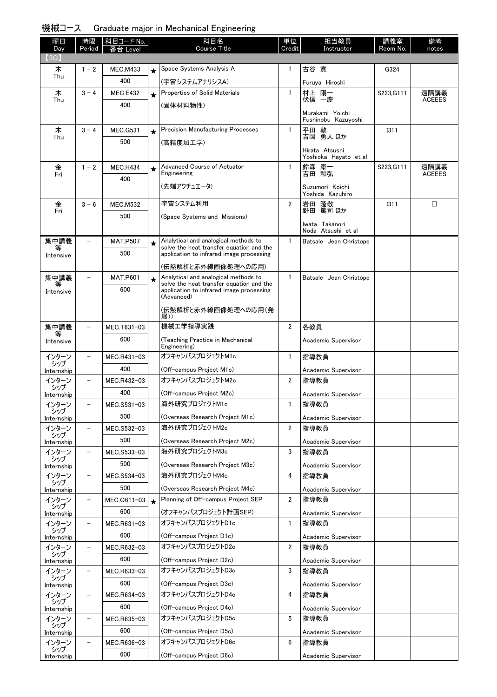|  | 機械コース Graduate major in Mechanical Engineering |  |  |  |  |  |
|--|------------------------------------------------|--|--|--|--|--|
|--|------------------------------------------------|--|--|--|--|--|

| 曜日                  | 時限                       | 科目コード No.          |         | 科目名<br>Course Title                                                                  | 単位             | 担当教員                                         | 講義室         | 備考            |
|---------------------|--------------------------|--------------------|---------|--------------------------------------------------------------------------------------|----------------|----------------------------------------------|-------------|---------------|
| Day<br>(3Q)         | Period                   | Level              |         |                                                                                      | Credit         | Instructor                                   | Room No.    | notes         |
| 木                   | $1 - 2$                  | <b>MEC.M433</b>    | $\star$ | Space Systems Analysis A                                                             | $\mathbf{1}$   | 古谷 寛                                         | G324        |               |
| Thu                 |                          | 400                |         | (宇宙システムアナリシスA)                                                                       |                | Furuya Hiroshi                               |             |               |
| 木                   | $3 - 4$                  | <b>MEC.E432</b>    | $\star$ | Properties of Solid Materials                                                        | 1              | 村上 陽一                                        | S223, G111  | 遠隔講義          |
| Thu                 |                          | 400                |         | (固体材料物性)                                                                             |                | 伏信 一慶                                        |             | <b>ACEEES</b> |
|                     |                          |                    |         |                                                                                      |                | Murakami Yoichi<br>Fushinobu Kazuyoshi       |             |               |
| 木                   | $3 - 4$                  | <b>MEC.G531</b>    | $\star$ | <b>Precision Manufacturing Processes</b>                                             | 1              | 平田 敦<br>吉岡 勇人 ほか                             | <b>I311</b> |               |
| Thu                 |                          | 500                |         | (高精度加工学)                                                                             |                |                                              |             |               |
|                     |                          |                    |         |                                                                                      |                | Hirata Atsushi<br>Yoshioka Hayato et al      |             |               |
| 金                   | $1 - 2$                  | <b>MEC.H434</b>    | $\star$ | Advanced Course of Actuator                                                          | 1              | 鈴森 康一                                        | S223.G111   | 遠隔講義          |
| Fri                 |                          | 400                |         | Engineering                                                                          |                | 吉田 和弘                                        |             | <b>ACEEES</b> |
|                     |                          |                    |         | (先端アクチュエータ)                                                                          |                | Suzumori Koichi<br>Yoshida Kazuhiro          |             |               |
| 金                   | $3 - 6$                  | <b>MEC.M532</b>    |         | 宇宙システム利用                                                                             | $\overline{2}$ |                                              | 1311        | □             |
| Fri                 |                          | 500                |         | (Space Systems and Missions)                                                         |                | 岩田 隆敬<br>野田 篤司ほか                             |             |               |
|                     |                          |                    |         |                                                                                      |                | Iwata Takanori                               |             |               |
| 集中講義                |                          | <b>MAT.P507</b>    |         | Analytical and analogical methods to                                                 | $\mathbf{1}$   | Noda Atsushi et al<br>Batsale Jean Christope |             |               |
| 等                   |                          | 500                | $\star$ | solve the heat transfer equation and the<br>application to infrared image processing |                |                                              |             |               |
| Intensive           |                          |                    |         | (伝熱解析と赤外線画像処理への応用)                                                                   |                |                                              |             |               |
| 集中講義                |                          | <b>MAT.P601</b>    |         | Analytical and analogical methods to                                                 | $\mathbf{1}$   | Batsale Jean Christope                       |             |               |
|                     |                          | 600                | $\star$ | solve the heat transfer equation and the<br>application to infrared image processing |                |                                              |             |               |
| Intensive           |                          |                    |         | (Advanced)                                                                           |                |                                              |             |               |
|                     |                          |                    |         | (伝熱解析と赤外線画像処理への応用(発<br>展))                                                           |                |                                              |             |               |
| 集中講義                |                          | MEC.T631-03        |         | 機械工学指導実践                                                                             | $\overline{2}$ | 各教員                                          |             |               |
| Intensive           |                          | 600                |         | (Teaching Practice in Mechanical                                                     |                | Academic Supervisor                          |             |               |
|                     |                          |                    |         | Engineering)                                                                         |                |                                              |             |               |
| インターン<br>シップ        |                          | MEC.R431-03        |         | オフキャンパスプロジェクトM1c                                                                     | $\mathbf{1}$   | 指導教員                                         |             |               |
| Internship          |                          | 400                |         | (Off-campus Project M1c)<br>オフキャンパスプロジェクトM2c                                         |                | Academic Supervisor                          |             |               |
| インターン<br>シップ        | $\overline{\phantom{0}}$ | MEC.R432-03        |         |                                                                                      | $\overline{2}$ | 指導教員                                         |             |               |
| Internship          |                          | 400                |         | (Off-campus Project M2c)<br>海外研究プロジェクトM1c                                            |                | Academic Supervisor                          |             |               |
| インターン<br>シップ        |                          | MEC.S531-03        |         |                                                                                      | 1              | 指導教員                                         |             |               |
| Internship          |                          | 500                |         | (Overseas Research Project M1c)<br>海外研究プロジェクトM2c                                     | $\overline{2}$ | Academic Supervisor                          |             |               |
| インターン<br>シップ        | $\overline{\phantom{0}}$ | MEC.S532-03<br>500 |         |                                                                                      |                | 指導教員                                         |             |               |
| Internship<br>インターン | $\qquad \qquad -$        | MEC.S533-03        |         | (Overseas Research Project M2c)<br>海外研究プロジェクトM3c                                     | 3              | Academic Supervisor<br>指導教員                  |             |               |
| シップ                 |                          | 500                |         | (Overseas Research Project M3c)                                                      |                |                                              |             |               |
| Internship<br>インターン | -                        | MEC.S534-03        |         | 海外研究プロジェクトM4c                                                                        | 4              | Academic Supervisor<br>指導教員                  |             |               |
| シップ                 |                          | 500                |         | (Overseas Research Project M4c)                                                      |                |                                              |             |               |
| Internship<br>インターン | $\overline{\phantom{a}}$ | MEC.Q611-03        | $\star$ | Planning of Off-campus Project SEP                                                   | $\overline{2}$ | Academic Supervisor<br>指導教員                  |             |               |
| シップ                 |                          | 600                |         | (オフキャンパスプロジェクト計画SEP)                                                                 |                | Academic Supervisor                          |             |               |
| Internship<br>インターン | $\overline{\phantom{a}}$ | MEC.R631-03        |         | オフキャンパスプロジェクトD1c                                                                     | 1              | 指導教員                                         |             |               |
| シップ                 |                          | 600                |         | (Off-campus Project D1c)                                                             |                | Academic Supervisor                          |             |               |
| Internship<br>インターン | $\overline{\phantom{0}}$ | MEC.R632-03        |         | オフキャンパスプロジェクトD2c                                                                     | 2              | 指導教員                                         |             |               |
| シップ                 |                          | 600                |         | (Off-campus Project D2c)                                                             |                | Academic Supervisor                          |             |               |
| Internship<br>インターン | $\qquad \qquad -$        | MEC.R633-03        |         | オフキャンパスプロジェクトD3c                                                                     | 3              | 指導教員                                         |             |               |
| シップ<br>Internship   |                          | 600                |         | (Off-campus Project D3c)                                                             |                | Academic Supervisor                          |             |               |
| インターン               | -                        | MEC.R634-03        |         | オフキャンパスプロジェクトD4c                                                                     | 4              | 指導教員                                         |             |               |
| シップ<br>Internship   |                          | 600                |         | (Off-campus Project D4c)                                                             |                | Academic Supervisor                          |             |               |
| インターン               | -                        | MEC.R635-03        |         | オフキャンパスプロジェクトD5c                                                                     | 5              | 指導教員                                         |             |               |
| シップ<br>Internship   |                          | 600                |         | (Off-campus Project D5c)                                                             |                | Academic Supervisor                          |             |               |
| インターン               |                          | MEC.R636-03        |         | オフキャンパスプロジェクトD6c                                                                     | 6              | 指導教員                                         |             |               |
| シップ<br>Internship   |                          | 600                |         | (Off-campus Project D6c)                                                             |                | Academic Supervisor                          |             |               |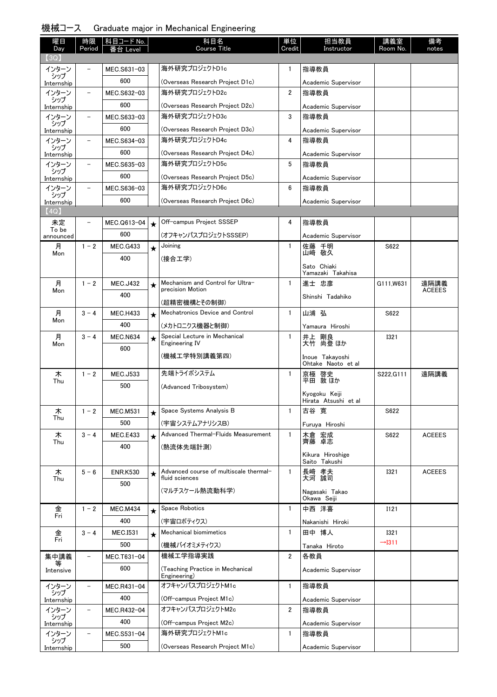| 機械コース |  |  |  |  | Graduate major in Mechanical Engineering |  |
|-------|--|--|--|--|------------------------------------------|--|
|-------|--|--|--|--|------------------------------------------|--|

| 曜日<br>Day         | 時限<br>Period             | 科目コード No.<br>番台 Level |         | 科目名<br><b>Course Title</b>                            | 単位<br>Credit   | 担当教員<br>Instructor           | 講義室<br>Room No.                   | 備考<br>notes           |
|-------------------|--------------------------|-----------------------|---------|-------------------------------------------------------|----------------|------------------------------|-----------------------------------|-----------------------|
| (3Q)              |                          |                       |         |                                                       |                |                              |                                   |                       |
| インターン             |                          | MEC.S631-03           |         | 海外研究プロジェクトD1c                                         | $\mathbf{1}$   | 指導教員                         |                                   |                       |
| シップ<br>Internship |                          | 600                   |         | (Overseas Research Project D1c)                       |                | Academic Supervisor          |                                   |                       |
| インターン             |                          | MEC.S632-03           |         | 海外研究プロジェクトD2c                                         | $\overline{2}$ | 指導教員                         |                                   |                       |
| シップ<br>Internship |                          | 600                   |         | (Overseas Research Project D2c)                       |                | Academic Supervisor          |                                   |                       |
| インターン             | $\overline{\phantom{a}}$ | MEC.S633-03           |         | 海外研究プロジェクトD3c                                         | 3              | 指導教員                         |                                   |                       |
| シップ<br>Internship |                          | 600                   |         | (Overseas Research Project D3c)                       |                | Academic Supervisor          |                                   |                       |
| インターン             | $\overline{\phantom{a}}$ | MEC.S634-03           |         | 海外研究プロジェクトD4c                                         | 4              | 指導教員                         |                                   |                       |
| シップ<br>Internship |                          | 600                   |         | (Overseas Research Project D4c)                       |                | Academic Supervisor          |                                   |                       |
| インターン             | $\overline{\phantom{0}}$ | MEC.S635-03           |         | 海外研究プロジェクトD5c                                         | 5              | 指導教員                         |                                   |                       |
| シップ<br>Internship |                          | 600                   |         | (Overseas Research Project D5c)                       |                | Academic Supervisor          |                                   |                       |
| インターン             | $\overline{\phantom{0}}$ | MEC.S636-03           |         | 海外研究プロジェクトD6c                                         | 6              | 指導教員                         |                                   |                       |
| シップ<br>Internship |                          | 600                   |         | (Overseas Research Project D6c)                       |                | Academic Supervisor          |                                   |                       |
| (4Q)              |                          |                       |         |                                                       |                |                              |                                   |                       |
| 未定<br>To be       |                          | MEC.Q613-04           | $\star$ | Off-campus Project SSSEP                              | 4              | 指導教員                         |                                   |                       |
| announced         |                          | 600                   |         | (オフキャンパスプロジェクトSSSEP)                                  |                | Academic Supervisor          |                                   |                       |
| 月<br>Mon          | $1 - 2$                  | <b>MEC.G433</b>       | $\star$ | Joining                                               | $\mathbf{1}$   | 佐藤 千明<br>山崎 敬久               | S622                              |                       |
|                   |                          | 400                   |         | (接合工学)                                                |                | Sato Chiaki                  |                                   |                       |
|                   |                          |                       |         |                                                       |                | Yamazaki Takahisa            |                                   |                       |
| 月                 | $1 - 2$                  | <b>MEC.J432</b>       | $\star$ | Mechanism and Control for Ultra-<br>precision Motion  | $\mathbf{1}$   | 進士 忠彦                        | G111, W631                        | 遠隔講義<br><b>ACEEES</b> |
| Mon               |                          | 400                   |         |                                                       |                | Shinshi Tadahiko             |                                   |                       |
| 月                 | $3 - 4$                  | <b>MEC.H433</b>       |         | (超精密機構とその制御)<br>Mechatronics Device and Control       | $\mathbf{1}$   | 山浦 弘                         | S622                              |                       |
| Mon               |                          | 400                   | $\star$ | (メカトロニクス機器と制御)                                        |                |                              |                                   |                       |
| 月                 | $3 - 4$                  | <b>MEC.N634</b>       |         | Special Lecture in Mechanical                         | $\mathbf{1}$   | Yamaura Hiroshi              | <b>I321</b>                       |                       |
| Mon               |                          | 600                   | $\star$ | Engineering IV                                        |                | 井上 剛良<br>大竹 尚登ほか             |                                   |                       |
|                   |                          |                       |         | (機械工学特別講義第四)                                          |                | Inoue Takayoshi              |                                   |                       |
| 木                 | $1 - 2$                  | <b>MEC.J533</b>       |         | 先端トライボシステム                                            | $\mathbf{1}$   | Ohtake Naoto et al           | S222, G111                        | 遠隔講義                  |
| Thu               |                          | 500                   |         | (Advanced Tribosystem)                                |                | 京極 啓史<br>平田 敦ほか              |                                   |                       |
|                   |                          |                       |         |                                                       |                | Kyogoku Keiji                |                                   |                       |
|                   | $1 - 2$                  | <b>MEC.M531</b>       |         | Space Systems Analysis B                              | $\mathbf{1}$   | Hirata Atsushi et al<br>古谷 寛 | S622                              |                       |
| 木<br>Thu          |                          | 500                   |         |                                                       |                |                              |                                   |                       |
| 木                 | $3 - 4$                  | <b>MEC.E433</b>       |         | (宇宙システムアナリシスB)<br>Advanced Thermal-Fluids Measurement | $\mathbf{1}$   | Furuya Hiroshi<br>木倉 宏成      | S622                              | <b>ACEEES</b>         |
| Thu               |                          | 400                   | $\star$ | (熱流体先端計測)                                             |                | 齊藤 卓志                        |                                   |                       |
|                   |                          |                       |         |                                                       |                | Kikura Hiroshige             |                                   |                       |
|                   |                          |                       |         | Advanced course of multiscale thermal-                | $\mathbf{1}$   | Saito Takushi                |                                   |                       |
| 木<br>Thu          | $5 - 6$                  | <b>ENR.K530</b>       | $\star$ | fluid sciences                                        |                | 長﨑 孝夫<br>大河 誠司               | <b>I321</b>                       | <b>ACEEES</b>         |
|                   |                          | 500                   |         | (マルチスケール熱流動科学)                                        |                | Nagasaki Takao               |                                   |                       |
|                   |                          |                       |         |                                                       |                | Okawa Seiji                  |                                   |                       |
| 金<br>Fri          | $1 - 2$                  | <b>MEC.M434</b>       | $\star$ | Space Robotics                                        | $\mathbf{1}$   | 中西 洋喜                        | I121                              |                       |
|                   |                          | 400                   |         | (宇宙ロボティクス)                                            |                | Nakanishi Hiroki             |                                   |                       |
| 金<br>Fri          | $3 - 4$                  | <b>MEC.I531</b>       | $\star$ | Mechanical biomimetics                                | $\mathbf{1}$   | 田中 博人                        | <b>I321</b><br>$\rightarrow$ I311 |                       |
|                   |                          | 500                   |         | (機械バイオミメティクス)                                         |                | Tanaka Hiroto                |                                   |                       |
| 集中講義<br>等         | -                        | MEC.T631-04           |         | 機械工学指導実践                                              | $\overline{2}$ | 各教員                          |                                   |                       |
| Intensive         |                          | 600                   |         | (Teaching Practice in Mechanical<br>Engineering)      |                | Academic Supervisor          |                                   |                       |
| インターン             | $\overline{\phantom{0}}$ | MEC.R431-04           |         | オフキャンパスプロジェクトM1c                                      | $\mathbf{1}$   | 指導教員                         |                                   |                       |
| シップ<br>Internship |                          | 400                   |         | (Off-campus Project M1c)                              |                | Academic Supervisor          |                                   |                       |
| インターン             | -                        | MEC.R432-04           |         | オフキャンパスプロジェクトM2c                                      | $\overline{2}$ | 指導教員                         |                                   |                       |
| シップ<br>Internship |                          | 400                   |         | (Off-campus Project M2c)                              |                | Academic Supervisor          |                                   |                       |
| インターン             |                          | MEC.S531-04           |         | 海外研究プロジェクトM1c                                         | 1              | 指導教員                         |                                   |                       |
| シップ<br>Internship |                          | 500                   |         | (Overseas Research Project M1c)                       |                | Academic Supervisor          |                                   |                       |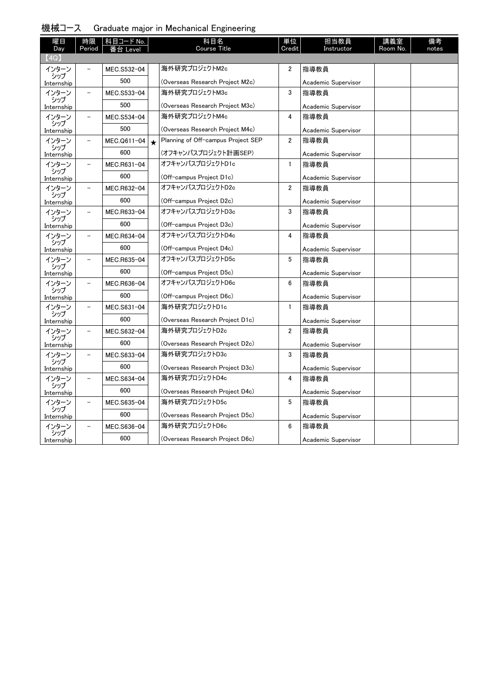|  | 機械コース |  |  |  | Graduate major in Mechanical Engineering |  |
|--|-------|--|--|--|------------------------------------------|--|
|--|-------|--|--|--|------------------------------------------|--|

| 曜日                  | 時限                       | 科目コード No.   |         | 科目名<br><b>Course Title</b>                       | 単位<br>Credit | 担当教員                        | 講義室      | 備考    |
|---------------------|--------------------------|-------------|---------|--------------------------------------------------|--------------|-----------------------------|----------|-------|
| Day<br>(4Q)         | Period                   | Level       |         |                                                  |              | Instructor                  | Room No. | notes |
| インターン               | $\overline{\phantom{0}}$ | MEC.S532-04 |         | 海外研究プロジェクトM2c                                    | 2            | 指導教員                        |          |       |
| シップ                 |                          | 500         |         |                                                  |              |                             |          |       |
| Internship          |                          |             |         | (Overseas Research Project M2c)<br>海外研究プロジェクトM3c |              | Academic Supervisor         |          |       |
| インターン<br>シップ        |                          | MEC.S533-04 |         |                                                  | 3            | 指導教員                        |          |       |
| Internship          |                          | 500         |         | (Overseas Research Project M3c)                  |              | Academic Supervisor         |          |       |
| インターン<br>シップ        | $\overline{\phantom{0}}$ | MEC.S534-04 |         | 海外研究プロジェクトM4c                                    | 4            | 指導教員                        |          |       |
| Internship          |                          | 500         |         | (Overseas Research Project M4c)                  |              | Academic Supervisor         |          |       |
| インターン               | $\overline{\phantom{0}}$ | MEC.Q611-04 | $\star$ | Planning of Off-campus Project SEP               | 2            | 指導教員                        |          |       |
| シップ<br>Internship   |                          | 600         |         | (オフキャンパスプロジェクト計画SEP)                             |              | Academic Supervisor         |          |       |
| インターン               |                          | MEC.R631-04 |         | オフキャンパスプロジェクトD1c                                 | $\mathbf{1}$ | 指導教員                        |          |       |
| シップ<br>Internship   |                          | 600         |         | (Off-campus Project D1c)                         |              | Academic Supervisor         |          |       |
| インターン               |                          | MEC.R632-04 |         | オフキャンパスプロジェクトD2c                                 | 2            | 指導教員                        |          |       |
| シップ<br>Internship   |                          | 600         |         | (Off-campus Project D2c)                         |              | Academic Supervisor         |          |       |
| インターン               | $\overline{\phantom{a}}$ | MEC.R633-04 |         | オフキャンパスプロジェクトD3c                                 | 3            | 指導教員                        |          |       |
| シップ                 |                          | 600         |         | (Off-campus Project D3c)                         |              |                             |          |       |
| Internship<br>インターン |                          | MEC.R634-04 |         | オフキャンパスプロジェクトD4c                                 | 4            | Academic Supervisor<br>指導教員 |          |       |
| シップ                 |                          |             |         |                                                  |              |                             |          |       |
| Internship          |                          | 600         |         | (Off-campus Project D4c)                         |              | Academic Supervisor         |          |       |
| インターン<br>シップ        | $\overline{\phantom{0}}$ | MEC.R635-04 |         | オフキャンパスプロジェクトD5c                                 | 5            | 指導教員                        |          |       |
| Internship          |                          | 600         |         | (Off-campus Project D5c)                         |              | Academic Supervisor         |          |       |
| インターン<br>シップ        | $\overline{\phantom{a}}$ | MEC.R636-04 |         | オフキャンパスプロジェクトD6c                                 | 6            | 指導教員                        |          |       |
| Internship          |                          | 600         |         | (Off-campus Project D6c)                         |              | Academic Supervisor         |          |       |
| インターン               |                          | MEC.S631-04 |         | 海外研究プロジェクトD1c                                    | $\mathbf{1}$ | 指導教員                        |          |       |
| シップ<br>Internship   |                          | 600         |         | (Overseas Research Project D1c)                  |              | Academic Supervisor         |          |       |
| インターン               | $\overline{\phantom{0}}$ | MEC.S632-04 |         | 海外研究プロジェクトD2c                                    | 2            | 指導教員                        |          |       |
| シップ<br>Internship   |                          | 600         |         | (Overseas Research Project D2c)                  |              | Academic Supervisor         |          |       |
| インターン               | $\overline{\phantom{a}}$ | MEC.S633-04 |         | 海外研究プロジェクトD3c                                    | 3            | 指導教員                        |          |       |
| シップ                 |                          | 600         |         | (Overseas Research Project D3c)                  |              | Academic Supervisor         |          |       |
| Internship<br>インターン |                          | MEC.S634-04 |         | 海外研究プロジェクトD4c                                    | 4            | 指導教員                        |          |       |
| シップ                 |                          | 600         |         |                                                  |              |                             |          |       |
| Internship          |                          |             |         | (Overseas Research Project D4c)                  |              | Academic Supervisor         |          |       |
| インターン<br>シップ        | $\overline{\phantom{0}}$ | MEC.S635-04 |         | 海外研究プロジェクトD5c                                    | 5            | 指導教員                        |          |       |
| Internship          |                          | 600         |         | (Overseas Research Project D5c)                  |              | Academic Supervisor         |          |       |
| インターン<br>シップ        |                          | MEC.S636-04 |         | 海外研究プロジェクトD6c                                    | 6            | 指導教員                        |          |       |
| Internship          |                          | 600         |         | (Overseas Research Project D6c)                  |              | Academic Supervisor         |          |       |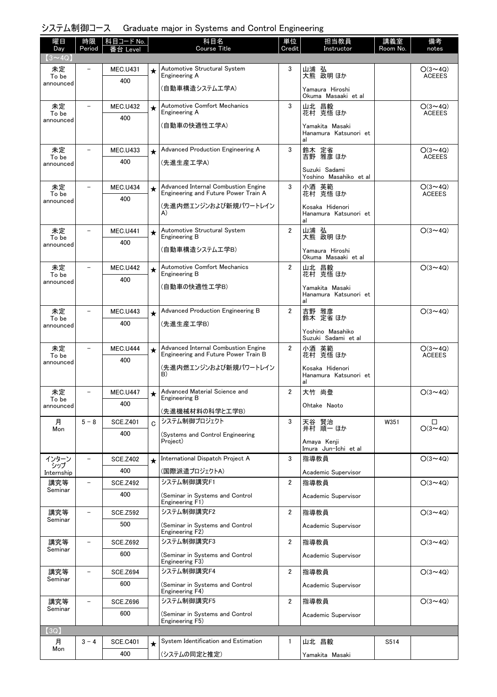# システム制御コース Graduate major in Systems and Control Engineering

| 曜日<br>Day          | 時限<br>Period             | 科目コード No.              |            | 科目名<br><b>Course Title</b>                                                  | 単位<br>Credit   | 担当教員<br>Instructor                             | 講義室<br>Room No. | 備考                              |
|--------------------|--------------------------|------------------------|------------|-----------------------------------------------------------------------------|----------------|------------------------------------------------|-----------------|---------------------------------|
| $(3 \sim 4Q)$      |                          | Level                  |            |                                                                             |                |                                                |                 | notes                           |
| 未定                 |                          | <b>MEC.U431</b>        |            | Automotive Structural System<br>Engineering A                               | 3              | 山浦 弘<br>大熊 政明ほか                                |                 | $O(3 \sim 4Q)$<br><b>ACEEES</b> |
| To be<br>announced |                          | 400                    |            | (自動車構造システム工学A)                                                              |                | Yamaura Hiroshi                                |                 |                                 |
|                    |                          |                        |            |                                                                             |                | Okuma Masaaki et al                            |                 |                                 |
| 未定<br>To be        |                          | <b>MEC.U432</b>        | $\star$    | Automotive Comfort Mechanics<br>Engineering A                               | 3              | 山北 昌毅<br>花村 克悟 ほか                              |                 | $O(3 \sim 4Q)$<br><b>ACEEES</b> |
| announced          |                          | 400                    |            | (自動車の快適性工学A)                                                                |                | Yamakita Masaki                                |                 |                                 |
|                    |                          |                        |            |                                                                             |                | Hanamura Katsunori et<br>al                    |                 |                                 |
| 未定<br>To be        |                          | <b>MEC.U433</b>        | $\star$    | Advanced Production Engineering A                                           | 3              | 鈴木 定省<br>吉野 雅彦ほか                               |                 | $O(3 \sim 4Q)$<br><b>ACEEES</b> |
| announced          |                          | 400                    |            | (先進生産工学A)                                                                   |                | Suzuki Sadami                                  |                 |                                 |
|                    |                          |                        |            |                                                                             |                | Yoshino Masahiko et al                         |                 |                                 |
| 未定<br>To be        |                          | <b>MEC.U434</b><br>400 | $\star$    | Advanced Internal Combustion Engine<br>Engineering and Future Power Train A | 3              | 小酒 英範<br>花村 克悟 ほか                              |                 | $O(3 \sim 4Q)$<br><b>ACEEES</b> |
| announced          |                          |                        |            | (先進内燃エンジンおよび新規パワートレイン                                                       |                | Kosaka Hidenori                                |                 |                                 |
|                    |                          |                        |            | A)                                                                          |                | Hanamura Katsunori et<br>al                    |                 |                                 |
| 未定<br>To be        |                          | <b>MEC.U441</b>        | $\star$    | Automotive Structural System<br>Engineering B                               | $\overline{2}$ | 山浦 弘<br>大熊 政明 ほか                               |                 | $O(3 \sim 4Q)$                  |
| announced          |                          | 400                    |            | (自動車構造システム工学B)                                                              |                | Yamaura Hiroshi                                |                 |                                 |
| 未定                 |                          |                        |            | <b>Automotive Comfort Mechanics</b>                                         | $\overline{2}$ | Okuma Masaaki et al                            |                 | $O(3 \sim 4Q)$                  |
| To be              |                          | <b>MEC.U442</b><br>400 | $\bigstar$ | Engineering B                                                               |                | 山北 昌毅<br>花村 克悟ほか                               |                 |                                 |
| announced          |                          |                        |            | (自動車の快適性工学B)                                                                |                | Yamakita Masaki<br>Hanamura Katsunori et<br>al |                 |                                 |
| 未定                 |                          | <b>MEC.U443</b>        | $\star$    | Advanced Production Engineering B                                           | $\overline{2}$ | 吉野 雅彦                                          |                 | $O(3 \sim 4Q)$                  |
| To be<br>announced |                          | 400                    |            | (先進生産工学B)                                                                   |                | 鈴木 定省ほか<br>Yoshino Masahiko                    |                 |                                 |
|                    |                          |                        |            |                                                                             |                | Suzuki Sadami et al                            |                 |                                 |
| 未定<br>To be        |                          | <b>MEC.U444</b>        | $\star$    | Advanced Internal Combustion Engine<br>Engineering and Future Power Train B | $\overline{2}$ | 小酒 英範<br>花村 克悟 ほか                              |                 | $O(3 \sim 4Q)$<br><b>ACEEES</b> |
| announced          |                          | 400                    |            | (先進内燃エンジンおよび新規パワートレイン                                                       |                | Kosaka Hidenori                                |                 |                                 |
|                    |                          |                        |            | B)                                                                          |                | Hanamura Katsunori et<br>al                    |                 |                                 |
| 未定<br>To be        |                          | <b>MEC.U447</b>        | $\star$    | Advanced Material Science and<br>Engineering B                              | $\overline{2}$ | 大竹 尚登                                          |                 | $O(3 \sim 4Q)$                  |
| announced          |                          | 400                    |            | (先進機械材料の科学と工学B)                                                             |                | Ohtake Naoto                                   |                 |                                 |
| 月                  | $5 - 8$                  | <b>SCE.Z401</b>        | C          | システム制御プロジェクト                                                                | 3              | 天谷 賢治                                          | W351            | □                               |
| Mon                |                          | 400                    |            | (Systems and Control Engineering<br>Project)                                |                | 井村 順一 ほか                                       |                 | $O(3 \sim 4Q)$                  |
|                    |                          |                        |            |                                                                             |                | Amaya Kenji<br>Imura Jun-Ichi et al            |                 |                                 |
| インターン<br>シップ       | $\overline{\phantom{0}}$ | <b>SCE.Z402</b>        |            | International Dispatch Project A                                            | 3              | 指導教員                                           |                 | $O(3 \sim 4Q)$                  |
| Internship         |                          | 400                    |            | (国際派遣プロジェクトA)<br>システム制御講究F1                                                 |                | Academic Supervisor                            |                 | $O(3 \sim 4Q)$                  |
| 講究等<br>Seminar     |                          | <b>SCE.Z492</b><br>400 |            | (Seminar in Systems and Control                                             | $\overline{2}$ | 指導教員                                           |                 |                                 |
|                    |                          |                        |            | Engineering F1)                                                             |                | Academic Supervisor                            |                 |                                 |
| 講究等<br>Seminar     |                          | <b>SCE.Z592</b>        |            | システム制御講究F2                                                                  | $\overline{2}$ | 指導教員                                           |                 | $O(3 \sim 4Q)$                  |
|                    |                          | 500                    |            | (Seminar in Systems and Control<br>Engineering F2)                          |                | Academic Supervisor                            |                 |                                 |
| 講究等<br>Seminar     |                          | <b>SCE.Z692</b>        |            | システム制御講究F3                                                                  | $\overline{2}$ | 指導教員                                           |                 | $O(3 \sim 4Q)$                  |
|                    |                          | 600                    |            | (Seminar in Systems and Control<br>Engineering F3)                          |                | Academic Supervisor                            |                 |                                 |
| 講究等                |                          | <b>SCE.Z694</b>        |            | システム制御講究F4                                                                  | $\overline{2}$ | 指導教員                                           |                 | $O(3 \sim 4Q)$                  |
| Seminar            |                          | 600                    |            | (Seminar in Systems and Control<br>Engineering F4)                          |                | Academic Supervisor                            |                 |                                 |
| 講究等<br>Seminar     |                          | <b>SCE.Z696</b>        |            | システム制御講究F5                                                                  | $\overline{2}$ | 指導教員                                           |                 | $O(3 \sim 4Q)$                  |
|                    |                          | 600                    |            | (Seminar in Systems and Control<br>Engineering F5)                          |                | Academic Supervisor                            |                 |                                 |
| (3Q)               |                          |                        |            |                                                                             |                |                                                |                 |                                 |
| 月                  | $3 - 4$                  | <b>SCE.C401</b>        | $\star$    | System Identification and Estimation                                        | $\mathbf{1}$   | 山北 昌毅                                          | S514            |                                 |
| Mon                |                          | 400                    |            | (システムの同定と推定)                                                                |                | Yamakita Masaki                                |                 |                                 |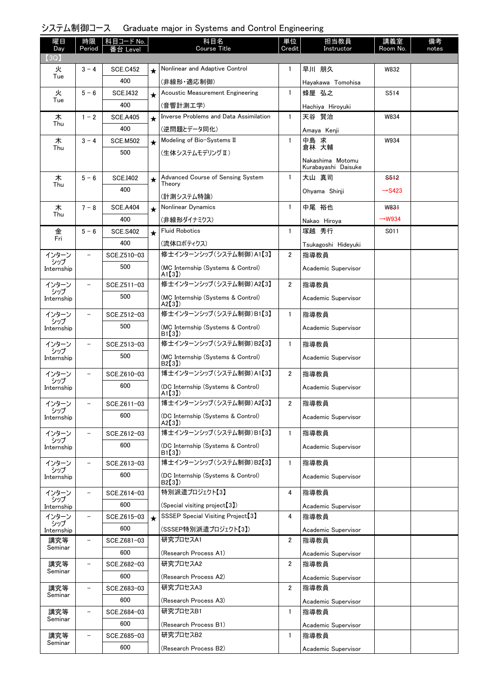### システム制御コース Graduate major in Systems and Control Engineering

| 曜日                  | 時限                       | │科目コード No.      |         | 科目名<br><b>Course Title</b>                    | 単位             | 担当教員                                    | 講義室                | 備考    |
|---------------------|--------------------------|-----------------|---------|-----------------------------------------------|----------------|-----------------------------------------|--------------------|-------|
| Day<br>(3Q)         | Period                   | ≸台 Level        |         |                                               | Credit         | Instructor                              | Room No.           | notes |
| 火                   | $3 - 4$                  | <b>SCE.C452</b> | $\star$ | Nonlinear and Adaptive Control                | $\mathbf{1}$   | 早川 朋久                                   | W832               |       |
| Tue                 |                          | 400             |         | (非線形・適応制御)                                    |                | Hayakawa Tomohisa                       |                    |       |
| 火                   | $5 - 6$                  | <b>SCE.I432</b> | $\star$ | Acoustic Measurement Engineering              | $\mathbf{1}$   | 蜂屋 弘之                                   | S514               |       |
| Tue                 |                          | 400             |         | (音響計測工学)                                      |                | Hachiya Hiroyuki                        |                    |       |
| 木                   | $1 - 2$                  | <b>SCE.A405</b> | $\star$ | <b>Inverse Problems and Data Assimilation</b> | $\mathbf{1}$   | 天谷 賢治                                   | W834               |       |
| Thu                 |                          | 400             |         | (逆問題とデータ同化)                                   |                | Amaya Kenji                             |                    |       |
| 木                   | $3 - 4$                  | <b>SCE.M502</b> | $\star$ | Modeling of Bio-Systems II                    | $\mathbf{1}$   | 中島 求                                    | W934               |       |
| Thu                 |                          | 500             |         | (生体システムモデリング Ⅱ)                               |                | 倉林 大輔                                   |                    |       |
|                     |                          |                 |         |                                               |                | Nakashima Motomu<br>Kurabayashi Daisuke |                    |       |
| 木                   | $5 - 6$                  | <b>SCE.I402</b> | ★       | Advanced Course of Sensing System             | $\mathbf{1}$   | 大山 真司                                   | S <sub>512</sub>   |       |
| Thu                 |                          | 400             |         | Theory                                        |                | Ohyama Shinji                           | $\rightarrow$ S423 |       |
| 木                   | $7 - 8$                  | <b>SCE.A404</b> |         | (計測システム特論)<br>Nonlinear Dynamics              | $\mathbf{1}$   | 中尾 裕也                                   | W831               |       |
| Thu                 |                          | 400             | $\star$ | (非線形ダイナミクス)                                   |                |                                         | $\rightarrow$ W934 |       |
| 金                   | $5 - 6$                  | <b>SCE.S402</b> | $\star$ | <b>Fluid Robotics</b>                         | $\mathbf{1}$   | Nakao Hiroya<br>塚越 秀行                   | S011               |       |
| Fri                 |                          | 400             |         | (流体ロボティクス)                                    |                |                                         |                    |       |
| インターン               | $\overline{\phantom{0}}$ | SCE.Z510-03     |         | 修士インターンシップ (システム制御)A1【3】                      | $\overline{2}$ | Tsukagoshi Hideyuki<br>指導教員             |                    |       |
| シップ<br>Internship   |                          | 500             |         | (MC Internship (Systems & Control)            |                | Academic Supervisor                     |                    |       |
|                     |                          |                 |         | $A1$ [3])                                     |                |                                         |                    |       |
| インターン<br>シップ        | $\qquad \qquad -$        | SCE.Z511-03     |         | 修士インターンシップ (システム制御)A2【3】                      | $\overline{2}$ | 指導教員                                    |                    |       |
| Internship          |                          | 500             |         | (MC Internship (Systems & Control)<br>A2[3]   |                | Academic Supervisor                     |                    |       |
| インターン               | $\qquad \qquad -$        | SCE.Z512-03     |         | 修士インターンシップ (システム制御)B1【3】                      | $\mathbf{1}$   | 指導教員                                    |                    |       |
| シップ<br>Internship   |                          | 500             |         | (MC Internship (Systems & Control)            |                | Academic Supervisor                     |                    |       |
|                     |                          |                 |         | B1[3]<br>修士インターンシップ (システム制御)B2【3】             |                |                                         |                    |       |
| インターン<br>シップ        | $\qquad \qquad -$        | SCE.Z513-03     |         |                                               | $\mathbf{1}$   | 指導教員                                    |                    |       |
| Internship          |                          | 500             |         | (MC Internship (Systems & Control)<br>B2[3]   |                | Academic Supervisor                     |                    |       |
| インターン<br>シップ        |                          | SCE.Z610-03     |         | 博士インターンシップ (システム制御)A1【3】                      | 2              | 指導教員                                    |                    |       |
| Internship          |                          | 600             |         | (DC Internship (Systems & Control)<br>A1[3]   |                | Academic Supervisor                     |                    |       |
| インターン               | $\overline{\phantom{m}}$ | SCE.Z611-03     |         | 博士インターンシップ(システム制御)A2【3】                       | 2              | 指導教員                                    |                    |       |
| シップ<br>Internship   |                          | 600             |         | (DC Internship (Systems & Control)            |                | Academic Supervisor                     |                    |       |
|                     |                          |                 |         | A2[3]                                         |                |                                         |                    |       |
| インターン<br>シップ        |                          | SCE.Z612-03     |         | 博士インターンシップ (システム制御)B1【3】                      | $\mathbf{1}$   | 指導教員                                    |                    |       |
| Internship          |                          | 600             |         | (DC Internship (Systems & Control)<br>B1(3)   |                | Academic Supervisor                     |                    |       |
| インターン               |                          | SCE.Z613-03     |         | 博士インターンシップ (システム制御)B2【3】                      | 1              | 指導教員                                    |                    |       |
| シップ<br>Internship   |                          | 600             |         | (DC Internship (Systems & Control)            |                | Academic Supervisor                     |                    |       |
| インターン               | $\qquad \qquad -$        | SCE.Z614-03     |         | B2[3])<br>特別派遣プロジェクト【3】                       | 4              | 指導教員                                    |                    |       |
| シップ                 |                          | 600             |         | (Special visiting project <sup>[3]</sup> )    |                | Academic Supervisor                     |                    |       |
| Internship<br>インターン |                          | SCE.Z615-03     | $\star$ | SSSEP Special Visiting Project <sup>[3]</sup> | 4              | 指導教員                                    |                    |       |
| シップ<br>Internship   |                          | 600             |         | (SSSEP特別派遣プロジェクト【3】)                          |                | Academic Supervisor                     |                    |       |
| 講究等                 |                          | SCE.Z681-03     |         | 研究プロセスA1                                      | $\overline{2}$ | 指導教員                                    |                    |       |
| Seminar             |                          | 600             |         | (Research Process A1)                         |                | Academic Supervisor                     |                    |       |
| 講究等                 | $\overline{\phantom{0}}$ | SCE.Z682-03     |         | 研究プロセスA2                                      | $\overline{2}$ | 指導教員                                    |                    |       |
| Seminar             |                          | 600             |         | (Research Process A2)                         |                | Academic Supervisor                     |                    |       |
| 講究等                 | $\qquad \qquad -$        | SCE.Z683-03     |         | 研究プロセスA3                                      | $\overline{2}$ | 指導教員                                    |                    |       |
| Seminar             |                          | 600             |         | (Research Process A3)                         |                | Academic Supervisor                     |                    |       |
| 講究等                 | $\overline{\phantom{0}}$ | SCE.Z684-03     |         | 研究プロセスB1                                      | $\mathbf{1}$   | 指導教員                                    |                    |       |
| Seminar             |                          | 600             |         | (Research Process B1)                         |                | Academic Supervisor                     |                    |       |
| 講究等                 |                          | SCE.Z685-03     |         | 研究プロセスB2                                      | $\mathbf{1}$   | 指導教員                                    |                    |       |
| Seminar             |                          | 600             |         | (Research Process B2)                         |                | Academic Supervisor                     |                    |       |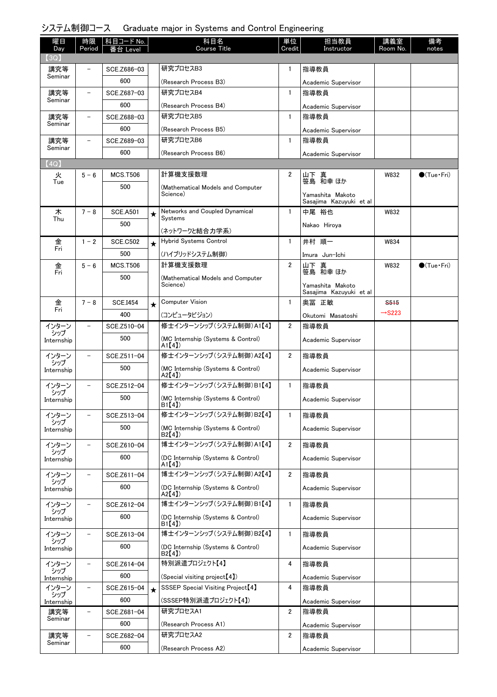### システム制御コース Graduate major in Systems and Control Engineering

| 曜日<br>Day         | 時限<br>Period             | 科目コード No.<br>番台 Level |         | 科目名<br>Course Title                           | 単位<br>Credit   | 担当教員<br>Instructor                          | 講義室<br>Room No.    | 備考<br>notes         |
|-------------------|--------------------------|-----------------------|---------|-----------------------------------------------|----------------|---------------------------------------------|--------------------|---------------------|
| (3Q)              |                          |                       |         |                                               |                |                                             |                    |                     |
| 講究等<br>Seminar    |                          | SCE.Z686-03           |         | 研究プロセスB3                                      | 1              | 指導教員                                        |                    |                     |
|                   |                          | 600                   |         | (Research Process B3)                         |                | Academic Supervisor                         |                    |                     |
| 講究等<br>Seminar    |                          | SCE.Z687-03           |         | 研究プロセスB4                                      | $\mathbf{1}$   | 指導教員                                        |                    |                     |
|                   | $\overline{\phantom{0}}$ | 600                   |         | (Research Process B4)<br>研究プロセスB5             | $\mathbf{1}$   | Academic Supervisor<br>指導教員                 |                    |                     |
| 講究等<br>Seminar    |                          | SCE.Z688-03<br>600    |         |                                               |                |                                             |                    |                     |
| 講究等               | $\equiv$                 | SCE.Z689-03           |         | (Research Process B5)<br>研究プロセスB6             | $\mathbf{1}$   | Academic Supervisor<br>指導教員                 |                    |                     |
| Seminar           |                          | 600                   |         |                                               |                |                                             |                    |                     |
| (4Q)              |                          |                       |         | (Research Process B6)                         |                | Academic Supervisor                         |                    |                     |
| 火                 | $5 - 6$                  | <b>MCS.T506</b>       |         | 計算機支援数理                                       | $\overline{2}$ |                                             | W832               | $\bullet$ (Tue•Fri) |
| Tue               |                          | 500                   |         | (Mathematical Models and Computer             |                | 山下 真<br>笹島 和幸 ほか                            |                    |                     |
|                   |                          |                       |         | Science)                                      |                | Yamashita Makoto<br>Sasajima Kazuyuki et al |                    |                     |
| 木                 | $7 - 8$                  | <b>SCE.A501</b>       | ★       | Networks and Coupled Dynamical                | $\mathbf{1}$   | 中尾 裕也                                       | W832               |                     |
| Thu               |                          | 500                   |         | Systems                                       |                | Nakao Hiroya                                |                    |                     |
|                   |                          |                       |         | (ネットワークと結合力学系)                                |                |                                             |                    |                     |
| 金<br>Fri          | $1 - 2$                  | <b>SCE.C502</b>       | $\star$ | Hybrid Systems Control                        | $\mathbf{1}$   | 井村 順一                                       | W834               |                     |
|                   |                          | 500                   |         | (ハイブリッドシステム制御)                                |                | Imura Jun-Ichi                              |                    |                     |
| 金<br>Fri          | $5 - 6$                  | <b>MCS.T506</b>       |         | 計算機支援数理                                       | $\overline{2}$ | 山下 真<br>笹島 和幸 ほか                            | W832               | $\bullet$ (Tue•Fri) |
|                   |                          | 500                   |         | (Mathematical Models and Computer<br>Science) |                | Yamashita Makoto                            |                    |                     |
|                   |                          |                       |         |                                               |                | Sasajima Kazuyuki et al                     |                    |                     |
| 金<br>Fri          | $7 - 8$                  | <b>SCE.I454</b>       | $\star$ | <b>Computer Vision</b>                        | $\mathbf{1}$   | 奥冨 正敏                                       | S <sub>515</sub>   |                     |
|                   |                          | 400                   |         | (コンピュータビジョン)                                  |                | Okutomi Masatoshi                           | $\rightarrow$ S223 |                     |
| インターン<br>シップ      |                          | SCE.Z510-04           |         | 修士インターンシップ(システム制御)A1【4】                       | $\overline{2}$ | 指導教員                                        |                    |                     |
| Internship        |                          | 500                   |         | (MC Internship (Systems & Control)<br>A1[4]   |                | Academic Supervisor                         |                    |                     |
| インターン             |                          | SCE.Z511-04           |         | 修士インターンシップ (システム制御)A2【4】                      | $\overline{2}$ | 指導教員                                        |                    |                     |
| シップ<br>Internship |                          | 500                   |         | (MC Internship (Systems & Control)            |                | Academic Supervisor                         |                    |                     |
|                   |                          |                       |         | A2[4]<br>修士インターンシップ (システム制御)B1【4】             |                |                                             |                    |                     |
| インターン<br>シップ      |                          | SCE.Z512-04           |         |                                               | $\mathbf{1}$   | 指導教員                                        |                    |                     |
| Internship        |                          | 500                   |         | (MC Internship (Systems & Control)<br>B1[4]   |                | Academic Supervisor                         |                    |                     |
| インターン             |                          | SCE.Z513-04           |         | 修士インターンシップ(システム制御)B2【4】                       | $\mathbf{1}$   | 指導教員                                        |                    |                     |
| シップ<br>Internship |                          | 500                   |         | (MC Internship (Systems & Control)            |                | Academic Supervisor                         |                    |                     |
| インターン             |                          | SCE.Z610-04           |         | B2[4])<br>博士インターンシップ (システム制御)A1【4】            | $\overline{2}$ | 指導教員                                        |                    |                     |
| シップ               |                          | 600                   |         | (DC Internship (Systems & Control)            |                | Academic Supervisor                         |                    |                     |
| Internship        |                          |                       |         | A1[4]                                         |                |                                             |                    |                     |
| インターン<br>シップ      |                          | SCE.Z611-04           |         | 博士インターンシップ (システム制御)A2【4】                      | $\overline{2}$ | 指導教員                                        |                    |                     |
| Internship        |                          | 600                   |         | (DC Internship (Systems & Control)<br>A2【4】)  |                | Academic Supervisor                         |                    |                     |
| インターン             |                          | SCE.Z612-04           |         | 博士インターンシップ (システム制御)B1【4】                      | $\mathbf{1}$   | 指導教員                                        |                    |                     |
| シップ<br>Internship |                          | 600                   |         | (DC Internship (Systems & Control)            |                | Academic Supervisor                         |                    |                     |
|                   |                          |                       |         | B <sub>1</sub> (4)                            |                |                                             |                    |                     |
| インターン<br>シップ      |                          | SCE.Z613-04           |         | 博士インターンシップ (システム制御)B2【4】                      | $\mathbf{1}$   | 指導教員                                        |                    |                     |
| Internship        |                          | 600                   |         | (DC Internship (Systems & Control)<br>B2[4]   |                | Academic Supervisor                         |                    |                     |
| インターン             |                          | SCE.Z614-04           |         | 特別派遣プロジェクト【4】                                 | 4              | 指導教員                                        |                    |                     |
| シップ<br>Internship |                          | 600                   |         | (Special visiting project [4])                |                | Academic Supervisor                         |                    |                     |
| インターン             | -                        | SCE.Z615-04           | $\star$ | SSSEP Special Visiting Project <sup>[4]</sup> | 4              | 指導教員                                        |                    |                     |
| シップ<br>Internship |                          | 600                   |         | (SSSEP特別派遣プロジェクト【4】)                          |                | Academic Supervisor                         |                    |                     |
| 講究等               |                          | SCE.Z681-04           |         | 研究プロセスA1                                      | $\overline{2}$ | 指導教員                                        |                    |                     |
| Seminar           |                          | 600                   |         | (Research Process A1)                         |                | Academic Supervisor                         |                    |                     |
| 講究等<br>Seminar    |                          | SCE.Z682-04           |         | 研究プロセスA2                                      | $\overline{2}$ | 指導教員                                        |                    |                     |
|                   |                          | 600                   |         | (Research Process A2)                         |                | Academic Supervisor                         |                    |                     |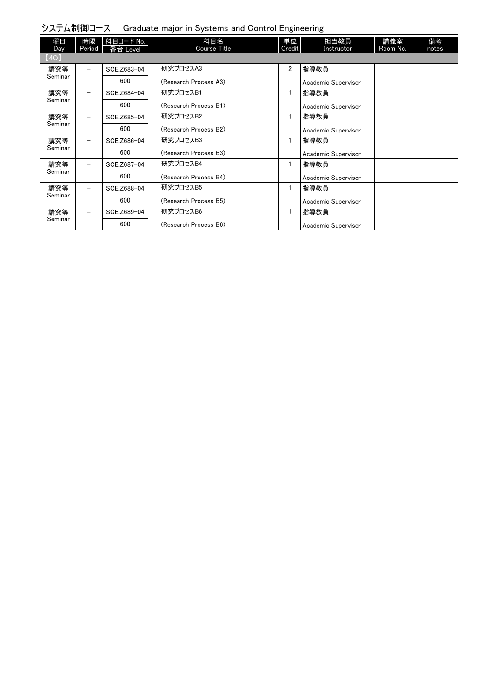| 曜日<br>Day | 時限<br>Period             | 科目コード No.<br>番台 Level | 科目名<br>Course Title   | 単位<br>Credit   | 担当教員<br>Instructor  | 講義室<br>Room No. | 備考<br>notes |
|-----------|--------------------------|-----------------------|-----------------------|----------------|---------------------|-----------------|-------------|
| [4Q]      |                          |                       |                       |                |                     |                 |             |
| 講究等       | $\overline{\phantom{0}}$ | SCE.Z683-04           | 研究プロセスA3              | $\overline{2}$ | 指導教員                |                 |             |
| Seminar   |                          | 600                   | (Research Process A3) |                | Academic Supervisor |                 |             |
| 講究等       | $\overline{\phantom{0}}$ | SCE.Z684-04           | 研究プロセスB1              |                | 指導教員                |                 |             |
| Seminar   |                          | 600                   | (Research Process B1) |                | Academic Supervisor |                 |             |
| 講究等       | $\overline{\phantom{0}}$ | SCE.Z685-04           | 研究プロセスB2              |                | 指導教員                |                 |             |
| Seminar   |                          | 600                   | (Research Process B2) |                | Academic Supervisor |                 |             |
| 講究等       | $\overline{\phantom{0}}$ | SCE.Z686-04           | 研究プロセスB3              |                | 指導教員                |                 |             |
| Seminar   |                          | 600                   | (Research Process B3) |                | Academic Supervisor |                 |             |
| 講究等       |                          | SCE.Z687-04           | 研究プロセスB4              |                | 指導教員                |                 |             |
| Seminar   |                          | 600                   | (Research Process B4) |                | Academic Supervisor |                 |             |
| 講究等       |                          | SCE.Z688-04           | 研究プロセスB5              |                | 指導教員                |                 |             |
| Seminar   |                          | 600                   | (Research Process B5) |                | Academic Supervisor |                 |             |
| 講究等       | $\overline{\phantom{0}}$ | SCE.Z689-04           | 研究プロセスB6              |                | 指導教員                |                 |             |
| Seminar   |                          | 600                   | (Research Process B6) |                | Academic Supervisor |                 |             |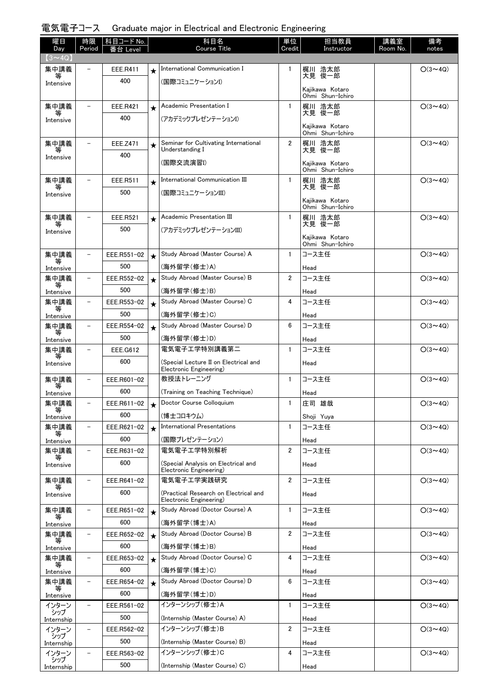# 電気電子コース Graduate major in Electrical and Electronic Engineering

| 曜日<br>Day         | 時限<br>Period             | <b>科目コード No.</b><br>番台 Level |            | 科目名<br><b>Course Title</b>                                       | 単位<br>Credit   | 担当教員<br>Instructor                  | 講義室<br>Room No. | 備考<br>notes    |
|-------------------|--------------------------|------------------------------|------------|------------------------------------------------------------------|----------------|-------------------------------------|-----------------|----------------|
| $(3 \sim 4Q)$     |                          |                              |            |                                                                  |                |                                     |                 |                |
| 集中講義              |                          | EEE.R411                     | $\star$    | International Communication I                                    | 1              | 梶川 浩太郎<br>大見 俊一郎                    |                 | $O(3 \sim 4Q)$ |
| 等<br>Intensive    |                          | 400                          |            | (国際コミュニケーションI)                                                   |                |                                     |                 |                |
|                   |                          |                              |            |                                                                  |                | Kajikawa Kotaro<br>Ohmi Shun-Ichiro |                 |                |
| 集中講義              | $\overline{\phantom{a}}$ | <b>EEE.R421</b>              | $\bigstar$ | Academic Presentation I                                          | $\mathbf{1}$   | 梶川 浩太郎                              |                 | $O(3 \sim 4Q)$ |
| 等<br>Intensive    |                          | 400                          |            | (アカデミックプレゼンテーションI)                                               |                | 大見 俊一郎                              |                 |                |
|                   |                          |                              |            |                                                                  |                | Kajikawa Kotaro<br>Ohmi Shun-Ichiro |                 |                |
| 集中講義              |                          | EEE.Z471                     | $\star$    | Seminar for Cultivating International                            | $\overline{2}$ | 梶川 浩太郎<br>大見 俊一郎                    |                 | $O(3 \sim 4Q)$ |
| Intensive         |                          | 400                          |            | Understanding I                                                  |                |                                     |                 |                |
|                   |                          |                              |            | (国際交流演習I)                                                        |                | Kajikawa Kotaro<br>Ohmi Shun-Ichiro |                 |                |
| 集中講義              | $\overline{\phantom{0}}$ | EEE.R511                     | $\star$    | International Communication III                                  | $\mathbf{1}$   | 梶川 浩太郎                              |                 | $O(3 \sim 4Q)$ |
| 等<br>Intensive    |                          | 500                          |            | (国際コミュニケーションIII)                                                 |                | 大見 俊一郎                              |                 |                |
|                   |                          |                              |            |                                                                  |                | Kajikawa Kotaro<br>Ohmi Shun-Ichiro |                 |                |
| 集中講義              |                          | <b>EEE.R521</b>              | $\star$    | Academic Presentation III                                        | $\mathbf{1}$   | 梶川 浩太郎                              |                 | $O(3 \sim 4Q)$ |
| Intensive         |                          | 500                          |            | (アカデミックプレゼンテーションIII)                                             |                | 大見 俊一郎                              |                 |                |
|                   |                          |                              |            |                                                                  |                | Kajikawa Kotaro<br>Ohmi Shun-Ichiro |                 |                |
| 集中講義<br>等         | $\overline{\phantom{0}}$ | EEE.R551-02                  | $\star$    | Study Abroad (Master Course) A                                   | $\mathbf{1}$   | コース主任                               |                 | $O(3 \sim 4Q)$ |
| Intensive         |                          | 500                          |            | (海外留学(修士)A)                                                      |                | Head                                |                 |                |
| 集中講義<br>等         | $\overline{\phantom{0}}$ | EEE.R552-02                  | $\star$    | Study Abroad (Master Course) B                                   | $\overline{2}$ | コース主任                               |                 | $O(3 \sim 4Q)$ |
| Intensive         |                          | 500                          |            | (海外留学(修士)B)                                                      |                | Head                                |                 |                |
| 集中講義<br>等         | $\overline{\phantom{0}}$ | EEE.R553-02                  | $\star$    | Study Abroad (Master Course) C                                   | 4              | コース主任                               |                 | $O(3 \sim 4Q)$ |
| Intensive         |                          | 500                          |            | (海外留学(修士)C)                                                      |                | Head                                |                 |                |
| 集中講義<br>等         |                          | EEE.R554-02                  | $\bigstar$ | Study Abroad (Master Course) D                                   | 6              | コース主任                               |                 | $O(3 \sim 4Q)$ |
| Intensive         |                          | 500                          |            | (海外留学(修士)D)                                                      |                | Head                                |                 |                |
| 集中講義<br>等         | $\overline{\phantom{0}}$ | EEE.G612                     |            | 電気電子工学特別講義第二                                                     | $\mathbf{1}$   | コース主任                               |                 | $O(3 \sim 4Q)$ |
| Intensive         |                          | 600                          |            | (Special Lecture II on Electrical and<br>Electronic Engineering) |                | Head                                |                 |                |
| 集中講義              | $\overline{\phantom{a}}$ | EEE.R601-02                  |            | 教授法トレーニング                                                        | $\mathbf{1}$   | コース主任                               |                 | $O(3 \sim 4Q)$ |
| 等<br>Intensive    |                          | 600                          |            | (Training on Teaching Technique)                                 |                | Head                                |                 |                |
| 集中講義<br>等         |                          | EEE.R611-02                  |            | Doctor Course Colloquium                                         | 1              | 庄司 雄哉                               |                 | $O(3 \sim 4Q)$ |
| Intensive         |                          | 600                          |            | (博士コロキウム)                                                        |                | Shoji Yuya                          |                 |                |
| 集中講義              | $\overline{\phantom{0}}$ | EEE.R621-02                  | $\star$    | <b>International Presentations</b>                               | $\mathbf{1}$   | コース主任                               |                 | $O(3 \sim 4Q)$ |
| Intensive         |                          | 600                          |            | (国際プレゼンテーション)                                                    |                | Head                                |                 |                |
| 集中講義<br>等         |                          | EEE.R631-02                  |            | 電気電子工学特別解析                                                       | $\overline{2}$ | コース主任                               |                 | $O(3 \sim 4Q)$ |
| Intensive         |                          | 600                          |            | (Special Analysis on Electrical and<br>Electronic Engineering)   |                | Head                                |                 |                |
| 集中講義              |                          | EEE.R641-02                  |            | 電気電子エ学実践研究                                                       | 2              | コース主任                               |                 | $O(3 \sim 4Q)$ |
| 等<br>Intensive    |                          | 600                          |            | (Practical Research on Electrical and                            |                | Head                                |                 |                |
| 集中講義              |                          | EEE.R651-02                  | $\star$    | Electronic Engineering)<br>Study Abroad (Doctor Course) A        | $\mathbf{1}$   | コース主任                               |                 | $O(3 \sim 4Q)$ |
| 等<br>Intensive    |                          | 600                          |            | (海外留学(博士)A)                                                      |                | Head                                |                 |                |
| 集中講義              |                          | EEE.R652-02                  | $\star$    | Study Abroad (Doctor Course) B                                   | 2              | コース主任                               |                 | $O(3 \sim 4Q)$ |
| 等<br>Intensive    |                          | 600                          |            | (海外留学(博士)B)                                                      |                | Head                                |                 |                |
| 集中講義              | $\equiv$                 | EEE.R653-02                  | $\star$    | Study Abroad (Doctor Course) C                                   | 4              | コース主任                               |                 | $O(3 \sim 4Q)$ |
| 等<br>Intensive    |                          | 600                          |            | (海外留学(博士)C)                                                      |                | Head                                |                 |                |
| 集中講義              | $\overline{\phantom{0}}$ | EEE.R654-02                  | $\star$    | Study Abroad (Doctor Course) D                                   | 6              | コース主任                               |                 | $O(3 \sim 4Q)$ |
| Intensive         |                          | 600                          |            | (海外留学(博士)D)                                                      |                | Head                                |                 |                |
| インターン             |                          | EEE.R561-02                  |            | インターンシップ(修士)A                                                    | 1              | コース主任                               |                 | $O(3 \sim 4Q)$ |
| シップ<br>Internship |                          | 500                          |            | (Internship (Master Course) A)                                   |                | Head                                |                 |                |
| インターン<br>シップ      |                          | EEE.R562-02                  |            | インターンシップ(修士)B                                                    | 2              | コース主任                               |                 | $O(3 \sim 4Q)$ |
| Internship        |                          | 500                          |            | (Internship (Master Course) B)                                   |                | Head                                |                 |                |
| インターン<br>シップ      |                          | EEE.R563-02                  |            | インターンシップ(修士)C                                                    | 4              | コース主任                               |                 | $O(3 \sim 4Q)$ |
| Internship        |                          | 500                          |            | (Internship (Master Course) C)                                   |                | Head                                |                 |                |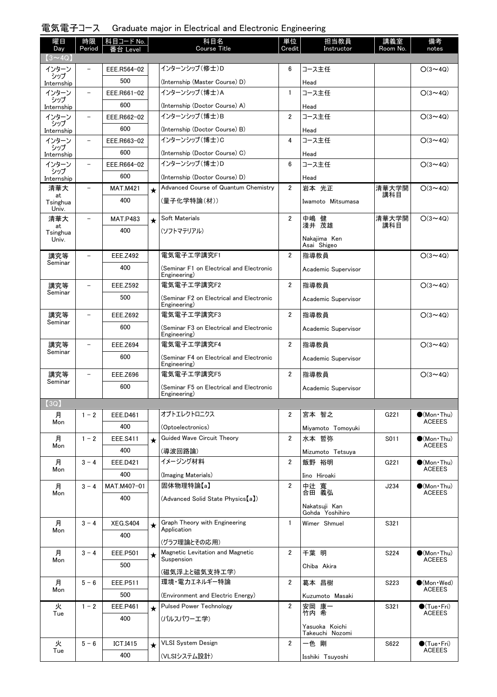| 電気電子コース Graduate major in Electrical and Electronic Engineering |  |  |  |  |
|-----------------------------------------------------------------|--|--|--|--|
|-----------------------------------------------------------------|--|--|--|--|

| 曜日                   | 時限                       | 科目コード No.       |         | 科目名                                                      | 単位             | 担当教員                              | 講義室              | 備考                                           |
|----------------------|--------------------------|-----------------|---------|----------------------------------------------------------|----------------|-----------------------------------|------------------|----------------------------------------------|
| Day<br>$(3 \sim 4Q)$ | Period                   | 番台 Level        |         | <b>Course Title</b>                                      | Credit         | Instructor                        | Room No.         | notes                                        |
| インターン                |                          | EEE.R564-02     |         | インターンシップ (修士)D                                           | 6              | コース主任                             |                  | $O(3 \sim 4Q)$                               |
| シップ<br>Internship    |                          | 500             |         | (Internship (Master Course) D)                           |                | Head                              |                  |                                              |
| インターン                | $\overline{\phantom{0}}$ | EEE.R661-02     |         | インターンシップ (博士)A                                           | 1              | コース主任                             |                  | $O(3 \sim 4Q)$                               |
| シップ<br>Internship    |                          | 600             |         | (Internship (Doctor Course) A)                           |                | Head                              |                  |                                              |
| インターン                | $\overline{\phantom{0}}$ | EEE.R662-02     |         | インターンシップ (博士)B                                           | $\overline{2}$ | コース主任                             |                  | $O(3 \sim 4Q)$                               |
| シップ<br>Internship    |                          | 600             |         | (Internship (Doctor Course) B)                           |                | Head                              |                  |                                              |
| インターン<br>シップ         | $\overline{\phantom{0}}$ | EEE.R663-02     |         | インターンシップ(博士)C                                            | 4              | コース主任                             |                  | $O(3 \sim 4Q)$                               |
| Internship           |                          | 600             |         | (Internship (Doctor Course) C)                           |                | Head                              |                  |                                              |
| インターン<br>シップ         | $\overline{\phantom{0}}$ | EEE.R664-02     |         | インターンシップ (博士)D                                           | 6              | コース主任                             |                  | $O(3 \sim 4Q)$                               |
| Internship           |                          | 600             |         | (Internship (Doctor Course) D)                           |                | Head                              |                  |                                              |
| 清華大<br>at            | $\qquad \qquad -$        | <b>MAT.M421</b> | $\star$ | Advanced Course of Quantum Chemistry                     | $\overline{2}$ | 岩本 光正                             | 清華大学開<br>講科目     | $O(3 \sim 4Q)$                               |
| Tsinghua<br>Univ.    |                          | 400             |         | (量子化学特論(材))                                              |                | Iwamoto Mitsumasa                 |                  |                                              |
| 清華大<br>at            | $\qquad \qquad -$        | <b>MAT.P483</b> | $\star$ | Soft Materials                                           | $\overline{2}$ | 中嶋 健<br>淺井 茂雄                     | 清華大学開<br>講科目     | $O(3 \sim 4Q)$                               |
| Tsinghua             |                          | 400             |         | (ソフトマテリアル)                                               |                | Nakajima Ken                      |                  |                                              |
| Univ.                |                          |                 |         |                                                          |                | Asai Shigeo                       |                  |                                              |
| 講究等<br>Seminar       | $\overline{\phantom{0}}$ | <b>EEE.Z492</b> |         | 電気電子工学講究F1                                               | $\overline{2}$ | 指導教員                              |                  | $O(3 \sim 4Q)$                               |
|                      |                          | 400             |         | (Seminar F1 on Electrical and Electronic<br>Engineering) |                | Academic Supervisor               |                  |                                              |
| 講究等                  |                          | <b>EEE.Z592</b> |         | 電気電子エ学講究F2                                               | $\overline{2}$ | 指導教員                              |                  | $O(3 \sim 4Q)$                               |
| Seminar              |                          | 500             |         | (Seminar F2 on Electrical and Electronic<br>Engineering) |                | Academic Supervisor               |                  |                                              |
| 講究等                  |                          | <b>EEE.Z692</b> |         | 電気電子エ学講究F3                                               | $\overline{2}$ | 指導教員                              |                  | $O(3 \sim 4Q)$                               |
| Seminar              |                          | 600             |         | (Seminar F3 on Electrical and Electronic<br>Engineering) |                | Academic Supervisor               |                  |                                              |
| 講究等                  |                          | <b>EEE.Z694</b> |         | 電気電子工学講究F4                                               | $\overline{2}$ | 指導教員                              |                  | $O(3 \sim 4Q)$                               |
| Seminar              |                          | 600             |         | (Seminar F4 on Electrical and Electronic<br>Engineering) |                | Academic Supervisor               |                  |                                              |
| 講究等<br>Seminar       |                          | <b>EEE.Z696</b> |         | 電気電子工学講究F5                                               | $\overline{2}$ | 指導教員                              |                  | $O(3 \sim 4Q)$                               |
|                      |                          | 600             |         | (Seminar F5 on Electrical and Electronic<br>Engineering) |                | Academic Supervisor               |                  |                                              |
| 13Q                  |                          |                 |         |                                                          |                |                                   |                  |                                              |
| 月<br>Mon             | $1 - 2$                  | EEE.D461        |         | オプトエレクトロニクス                                              | 2              | 宮本 智之                             | G221             | $\bullet$ (Mon Thu)<br><b>ACEEES</b>         |
|                      |                          | 400             |         | (Optoelectronics)                                        |                | Miyamoto Tomoyuki                 |                  |                                              |
| 月<br>Mon             | $1 - 2$                  | <b>EEE.S411</b> | $\star$ | Guided Wave Circuit Theory                               | $\overline{2}$ | 水本 哲弥                             | S011             | $\bullet$ (Mon Thu)<br><b>ACEEES</b>         |
|                      |                          | 400             |         | (導波回路論)<br>イメージング材料                                      |                | Mizumoto Tetsuya                  |                  |                                              |
| 月<br>Mon             | $3 - 4$                  | EEE.D421<br>400 |         |                                                          | $\overline{2}$ | 飯野 裕明                             | G221             | $\bullet$ (Mon Thu)<br><b>ACEEES</b>         |
|                      | $3 - 4$                  | MAT.M407-01     |         | (Imaging Materials)<br>固体物理特論【a】                         | $\overline{2}$ | Iino Hiroaki<br>中辻 寬              |                  | $\bullet$ (Mon · Thu)                        |
| 月<br>Mon             |                          | 400             |         |                                                          |                | 合田 義弘                             | J234             | <b>ACEEES</b>                                |
|                      |                          |                 |         | (Advanced Solid State Physics [a])                       |                | Nakatsuji Kan<br>Gohda Yoshihiro  |                  |                                              |
| 月                    | $3 - 4$                  | <b>XEG.S404</b> | $\star$ | Graph Theory with Engineering                            | $\mathbf{1}$   | Wimer Shmuel                      | S321             |                                              |
| Mon                  |                          | 400             |         | Application<br>(グラフ理論とその応用)                              |                |                                   |                  |                                              |
| 月                    | $3 - 4$                  | EEE.P501        | $\star$ | Magnetic Levitation and Magnetic                         | $\overline{2}$ | 千葉 明                              | S224             | $\bullet$ (Mon Thu)                          |
| Mon                  |                          | 500             |         | Suspension                                               |                | Chiba Akira                       |                  | <b>ACEEES</b>                                |
|                      |                          |                 |         | (磁気浮上と磁気支持工学)                                            |                |                                   |                  |                                              |
| 月<br>Mon             | $5 - 6$                  | EEE.P511        |         | 環境・電力エネルギー特論                                             | $\overline{2}$ | 葛本 昌樹                             | S <sub>223</sub> | $\bullet$ (Mon $\cdot$ Wed)<br><b>ACEEES</b> |
|                      |                          | 500             |         | (Environment and Electric Energy)                        |                | Kuzumoto Masaki                   |                  |                                              |
| 火<br>Tue             | $1 - 2$                  | <b>EEE.P461</b> | $\star$ | <b>Pulsed Power Technology</b>                           | $\overline{2}$ | 安岡 康一<br>竹内 希                     | S321             | $\bullet$ (Tue•Fri)<br><b>ACEEES</b>         |
|                      |                          | 400             |         | (パルスパワーエ学)                                               |                | Yasuoka Koichi<br>Takeuchi Nozomi |                  |                                              |
| 火                    | $5 - 6$                  | <b>ICT.I415</b> | $\star$ | <b>VLSI System Design</b>                                | $\overline{2}$ | 一色 剛                              | S622             | $\bullet$ (Tue•Fri)                          |
| Tue                  |                          | 400             |         | (VLSIシステム設計)                                             |                | Isshiki Tsuyoshi                  |                  | <b>ACEEES</b>                                |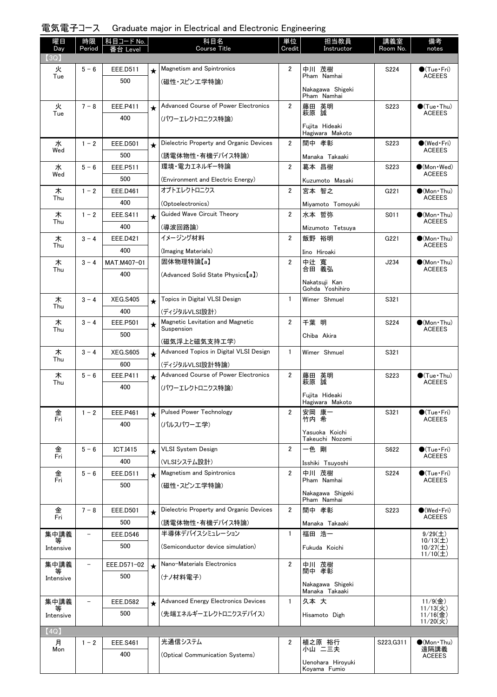| 電気電子コース Graduate major in Electrical and Electronic Engineering |  |  |  |  |  |  |  |
|-----------------------------------------------------------------|--|--|--|--|--|--|--|
|-----------------------------------------------------------------|--|--|--|--|--|--|--|

| 曜日<br>Day | 時限<br>Period      | │科目コード No.<br>番台 Level |         | 科目名<br><b>Course Title</b>                     | 単位<br>Credit   | 担当教員<br>Instructor                 | 講義室<br>Room No. | 備考<br>notes                                  |
|-----------|-------------------|------------------------|---------|------------------------------------------------|----------------|------------------------------------|-----------------|----------------------------------------------|
| (3Q)      |                   |                        |         |                                                |                |                                    |                 |                                              |
| 火<br>Tue  | $5 - 6$           | EEE.D511               | $\star$ | <b>Magnetism and Spintronics</b>               | 2              | 中川 茂樹<br>Pham Namhai               | S224            | $\bullet$ (Tue•Fri)<br><b>ACEEES</b>         |
|           |                   | 500                    |         | (磁性・スピンエ学特論)                                   |                |                                    |                 |                                              |
|           |                   |                        |         |                                                |                | Nakagawa Shigeki<br>Pham Namhai    |                 |                                              |
| 火         | $7 - 8$           | EEE.P411               | $\star$ | Advanced Course of Power Electronics           | $\overline{2}$ | 藤田 英明<br>萩原 誠                      | S223            | $\bullet$ (Tue · Thu)                        |
| Tue       |                   | 400                    |         | (パワーエレクトロニクス特論)                                |                |                                    |                 | <b>ACEEES</b>                                |
|           |                   |                        |         |                                                |                | Fuiita Hideaki<br>Hagiwara Makoto  |                 |                                              |
| 水         | $1 - 2$           | <b>EEE.D501</b>        | $\star$ | Dielectric Property and Organic Devices        | $\overline{2}$ | 間中 孝彰                              | S223            | $\bullet$ (Wed•Fri)                          |
| Wed       |                   | 500                    |         | (誘電体物性・有機デバイス特論)                               |                | Manaka Takaaki                     |                 | <b>ACEEES</b>                                |
| 水         | $5 - 6$           | EEE.P511               |         | 環境・電力エネルギー特論                                   | $\overline{2}$ | 葛本 昌樹                              | S223            | $(Mon$ $Wed)$<br><b>ACEEES</b>               |
| Wed       |                   | 500                    |         | (Environment and Electric Energy)              |                | Kuzumoto Masaki                    |                 |                                              |
| 木<br>Thu  | $1 - 2$           | <b>EEE.D461</b>        |         | オプトエレクトロニクス                                    | $\overline{2}$ | 宮本 智之                              | G221            | $\bullet$ (Mon Thu)<br><b>ACEEES</b>         |
|           |                   | 400                    |         | (Optoelectronics)                              |                | Miyamoto Tomoyuki                  |                 |                                              |
| 木<br>Thu  | $1 - 2$           | EEE.S411               | $\star$ | Guided Wave Circuit Theory                     | $\overline{2}$ | 水本 哲弥                              | S011            | $\bullet$ (Mon · Thu)<br><b>ACEEES</b>       |
|           |                   | 400                    |         | (導波回路論)                                        |                | Mizumoto Tetsuya                   |                 |                                              |
| 木<br>Thu  | $3 - 4$           | EEE.D421               |         | イメージング材料                                       | $\overline{2}$ | 飯野 裕明                              | G221            | $\bullet$ (Mon Thu)<br><b>ACEEES</b>         |
|           |                   | 400                    |         | (Imaging Materials)                            |                | Iino Hiroaki                       |                 |                                              |
| 木<br>Thu  | $3 - 4$           | MAT.M407-01            |         | 固体物理特論【a】                                      | $\overline{2}$ | 中辻 寬<br>合田 義弘                      | J234            | $\bullet$ (Mon•Thu)<br><b>ACEEES</b>         |
|           |                   | 400                    |         | (Advanced Solid State Physics [a])             |                | Nakatsuji Kan                      |                 |                                              |
|           |                   |                        |         |                                                |                | Gohda Yoshihiro                    |                 |                                              |
| 木<br>Thu  | $3 - 4$           | <b>XEG.S405</b>        | $\star$ | Topics in Digital VLSI Design                  | $\mathbf{1}$   | Wimer Shmuel                       | S321            |                                              |
|           |                   | 400                    |         | (ディジタルVLSI設計)                                  |                |                                    |                 |                                              |
| 木<br>Thu  | $3 - 4$           | EEE.P501               | $\star$ | Magnetic Levitation and Magnetic<br>Suspension | $\overline{2}$ | 千葉 明                               | S224            | $\bullet$ (Mon Thu)<br><b>ACEEES</b>         |
|           |                   | 500                    |         | (磁気浮上と磁気支持工学)                                  |                | Chiba Akira                        |                 |                                              |
| 木         | $3 - 4$           | <b>XEG.S605</b>        | $\star$ | Advanced Topics in Digital VLSI Design         | $\mathbf{1}$   | Wimer Shmuel                       | S321            |                                              |
| Thu       |                   | 600                    |         | (ディジタルVLSI設計特論)                                |                |                                    |                 |                                              |
| 木         | $5 - 6$           | EEE.P411               | $\star$ | Advanced Course of Power Electronics           | $\overline{2}$ | 藤田 英明<br>萩原 誠                      | S223            | $\bigcirc$ (Tue · Thu)                       |
| Thu       |                   | 400                    |         | (パワーエレクトロニクス特論)                                |                |                                    |                 | <b>ACEEES</b>                                |
|           |                   |                        |         |                                                |                | Fujita Hideaki<br>Hagiwara Makoto  |                 |                                              |
| 金         | $1 - 2$           | <b>EEE.P461</b>        | $\star$ | <b>Pulsed Power Technology</b>                 | $\overline{2}$ | 安岡 康一                              | S321            | $\bigcirc$ (Tue · Fri)                       |
| Fri       |                   | 400                    |         | (パルスパワーエ学)                                     |                | 竹内 希                               |                 | <b>ACEEES</b>                                |
|           |                   |                        |         |                                                |                | Yasuoka Koichi<br>Takeuchi Nozomi  |                 |                                              |
| 金         | $5 - 6$           | <b>ICT.I415</b>        | $\star$ | <b>VLSI System Design</b>                      | $\overline{2}$ | 一色 剛                               | S622            | $\bullet$ (Tue•Fri)                          |
| Fri       |                   | 400                    |         | (VLSIシステム設計)                                   |                | Isshiki Tsuyoshi                   |                 | <b>ACEEES</b>                                |
| 金<br>Fri  | $5 - 6$           | EEE.D511               | $\star$ | <b>Magnetism and Spintronics</b>               | $\overline{2}$ | 中川 茂樹<br>Pham Namhai               | S224            | $\bullet$ (Tue $\cdot$ Fri)<br><b>ACEEES</b> |
|           |                   | 500                    |         | (磁性・スピンエ学特論)                                   |                |                                    |                 |                                              |
|           |                   |                        |         |                                                |                | Nakagawa Shigeki<br>Pham Namhai    |                 |                                              |
| 金<br>Fri  | $7 - 8$           | EEE.D501               | $\star$ | Dielectric Property and Organic Devices        | $\overline{2}$ | 間中 孝彰                              | S223            | $\bullet$ (Wed•Fri)<br><b>ACEEES</b>         |
|           |                   | 500                    |         | (誘電体物性・有機デバイス特論)                               |                | Manaka Takaaki                     |                 |                                              |
| 集中講義      |                   | <b>EEE.D546</b>        |         | 半導体デバイスシミュレーション                                | $\mathbf{1}$   | 福田 浩一                              |                 | 9/29(1)<br>$10/13(\pm)$                      |
| Intensive |                   | 500                    |         | (Semiconductor device simulation)              |                | Fukuda Koichi                      |                 | $10/27($ 土<br>$11/10(\pm)$                   |
| 集中講義      |                   | EEE.D571-02            | $\star$ | Nano-Materials Electronics                     | $\overline{2}$ | 中川 茂樹<br>間中 孝彰                     |                 |                                              |
| Intensive |                   | 500                    |         | (ナノ材料電子)                                       |                |                                    |                 |                                              |
|           |                   |                        |         |                                                |                | Nakagawa Shigeki<br>Manaka Takaaki |                 |                                              |
| 集中講義      | $\qquad \qquad -$ | <b>EEE.D582</b>        | $\star$ | <b>Advanced Energy Electronics Devices</b>     | $\mathbf{1}$   | 久本大                                |                 | $11/9$ (金)<br>$11/13($ 火)                    |
| Intensive |                   | 500                    |         | (先端エネルギーエレクトロニクスデバイス)                          |                | Hisamoto Digh                      |                 | $\frac{11}{16}$<br>11/20(火)                  |
| (4Q)      |                   |                        |         |                                                |                |                                    |                 |                                              |
| 月         | $1 - 2$           | <b>EEE.S461</b>        |         | 光通信システム                                        | 2              | 植之原 裕行                             | S223, G311      | $\bullet$ (Mon•Thu)                          |
| Mon       |                   | 400                    |         | (Optical Communication Systems)                |                | 小山 二三夫                             |                 | 遠隔講義<br><b>ACEEES</b>                        |
|           |                   |                        |         |                                                |                | Uenohara Hiroyuki<br>Koyama Fumio  |                 |                                              |
|           |                   |                        |         |                                                |                |                                    |                 |                                              |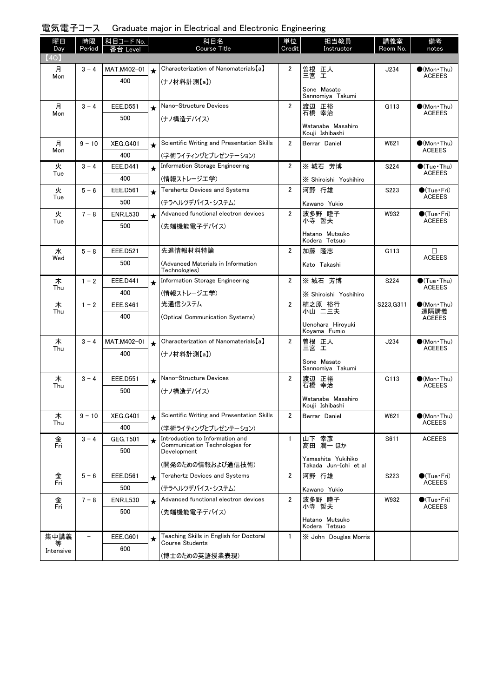|  | 電気電子コース Graduate major in Electrical and Electronic Engineering |  |  |  |
|--|-----------------------------------------------------------------|--|--|--|
|--|-----------------------------------------------------------------|--|--|--|

| 曜日<br>Day      | 時限<br>Period             | │科目コード No. │<br>番台 Level |            | 科目名<br><b>Course Title</b>                                        | 単位<br>Credit   | 担当教員<br>Instructor                          | 講義室<br>Room No. | 備考<br>notes                           |
|----------------|--------------------------|--------------------------|------------|-------------------------------------------------------------------|----------------|---------------------------------------------|-----------------|---------------------------------------|
| (4Q)           |                          |                          |            |                                                                   |                |                                             |                 |                                       |
| 月              | $3 - 4$                  | MAT.M402-01              | $\star$    | Characterization of Nanomaterials [a]                             | $\overline{2}$ | 曽根 正人<br>三宮 工                               | J234            | $\bigcirc$ (Mon Thu)<br><b>ACEEES</b> |
| Mon            |                          | 400                      |            | (ナノ材料計測【a】)                                                       |                |                                             |                 |                                       |
|                |                          |                          |            |                                                                   |                | Sone Masato<br>Sannomiya Takumi             |                 |                                       |
| 月              | $3 - 4$                  | <b>EEE.D551</b>          |            | Nano-Structure Devices                                            | $\overline{2}$ | 渡辺 正裕                                       | G113            | $\bullet$ (Mon Thu)                   |
| Mon            |                          |                          | $\star$    |                                                                   |                | 石橋 幸治                                       |                 | <b>ACEEES</b>                         |
|                |                          | 500                      |            | (ナノ構造デバイス)                                                        |                | Watanabe Masahiro                           |                 |                                       |
|                |                          |                          |            |                                                                   |                | Kouji Ishibashi                             |                 |                                       |
| 月              | $9 - 10$                 | <b>XEG.G401</b>          | $\star$    | Scientific Writing and Presentation Skills                        | $\overline{2}$ | Berrar Daniel                               | W621            | $\bigcirc$ (Mon·Thu)                  |
| Mon            |                          | 400                      |            | (学術ライティングとプレゼンテーション)                                              |                |                                             |                 | <b>ACEEES</b>                         |
| 火              | $3 - 4$                  | <b>EEE.D441</b>          | $\star$    | Information Storage Engineering                                   | $\overline{2}$ | ※ 城石 芳博                                     | S224            | $\bullet$ (Tue · Thu)                 |
| Tue            |                          | 400                      |            | (情報ストレージエ学)                                                       |                | X Shiroishi Yoshihiro                       |                 | <b>ACEEES</b>                         |
| 火              | $5 - 6$                  | EEE.D561                 |            | <b>Terahertz Devices and Systems</b>                              | $\overline{2}$ | 河野 行雄                                       | S223            | $\bullet$ (Tue•Fri)                   |
| Tue            |                          |                          | $\star$    |                                                                   |                |                                             |                 | <b>ACEEES</b>                         |
|                |                          | 500                      |            | (テラヘルツデバイス・システム)                                                  |                | Kawano Yukio                                |                 |                                       |
| 火<br>Tue       | $7 - 8$                  | <b>ENR.L530</b>          | $\star$    | Advanced functional electron devices                              | $\overline{2}$ | 波多野 睦子<br>小寺 哲夫                             | W932            | $\bullet$ (Tue•Fri)<br><b>ACEEES</b>  |
|                |                          | 500                      |            | (先端機能電子デバイス)                                                      |                |                                             |                 |                                       |
|                |                          |                          |            |                                                                   |                | Hatano Mutsuko<br>Kodera Tetsuo             |                 |                                       |
| 水              | $5 - 8$                  | <b>EEE.D521</b>          |            | 先進情報材料特論                                                          | $\overline{2}$ | 加藤 隆志                                       | G113            | □                                     |
| Wed            |                          | 500                      |            | (Advanced Materials in Information                                |                | Kato Takashi                                |                 | <b>ACEEES</b>                         |
|                |                          |                          |            | Technologies)                                                     |                |                                             |                 |                                       |
| 木              | $1 - 2$                  | EEE.D441                 | $\star$    | Information Storage Engineering                                   | $\overline{2}$ | ※ 城石 芳博                                     | S224            | $\bullet$ (Tue•Thu)                   |
| Thu            |                          | 400                      |            | (情報ストレージエ学)                                                       |                | X Shiroishi Yoshihiro                       |                 | <b>ACEEES</b>                         |
| 木              | $1 - 2$                  | <b>EEE.S461</b>          |            | 光通信システム                                                           | $\overline{2}$ | 植之原 裕行                                      | S223.G311       | $\bullet$ (Mon Thu)                   |
| Thu            |                          | 400                      |            | (Optical Communication Systems)                                   |                | 小山 二三夫                                      |                 | 遠隔講義<br><b>ACEEES</b>                 |
|                |                          |                          |            |                                                                   |                | Uenohara Hiroyuki                           |                 |                                       |
|                |                          |                          |            |                                                                   |                | Koyama Fumio                                |                 |                                       |
| 木<br>Thu       | $3 - 4$                  | MAT.M402-01              | $\star$    | Characterization of Nanomaterials [a]                             | $\overline{2}$ | 曽根 正人<br>三宮 王                               | J234            | $\bullet$ (Mon Thu)<br><b>ACEEES</b>  |
|                |                          | 400                      |            | (ナノ材料計測【a】)                                                       |                |                                             |                 |                                       |
|                |                          |                          |            |                                                                   |                | Sone Masato<br>Sannomiya Takumi             |                 |                                       |
| 木              | $3 - 4$                  | <b>EEE.D551</b>          | $\star$    | Nano-Structure Devices                                            | $\overline{2}$ | 渡辺 正裕                                       | G113            | $\bullet$ (Mon•Thu)                   |
| Thu            |                          | 500                      |            | (ナノ構造デバイス)                                                        |                | 石橋 幸治                                       |                 | <b>ACEEES</b>                         |
|                |                          |                          |            |                                                                   |                | Watanabe Masahiro                           |                 |                                       |
|                |                          |                          |            |                                                                   |                | Kouji Ishibashi                             |                 |                                       |
| 木<br>Thu       | $9 - 10$                 | <b>XEG.G401</b>          | $\bigstar$ | Scientific Writing and Presentation Skills                        | $\overline{2}$ | Berrar Daniel                               | W621            | $\bullet$ (Mon•Thu)<br><b>ACEEES</b>  |
|                |                          | 400                      |            | (学術ライティングとプレゼンテーション)                                              |                |                                             |                 |                                       |
| 金<br>Fri       | $3 - 4$                  | <b>GEG.T501</b>          |            | Introduction to Information and<br>Communication Technologies for | $\mathbf{1}$   | 山下 幸彦<br>髙田 潤一 ほか                           | S611            | <b>ACEEES</b>                         |
|                |                          | 500                      |            | Development                                                       |                |                                             |                 |                                       |
|                |                          |                          |            | (開発のための情報および通信技術)                                                 |                | Yamashita Yukihiko<br>Takada Jun-Ichi et al |                 |                                       |
| 金              | $5 - 6$                  | <b>EEE.D561</b>          | $\star$    | <b>Terahertz Devices and Systems</b>                              | $\overline{2}$ | 河野 行雄                                       | S223            | $\bullet$ (Tue · Fri)                 |
| Fri            |                          | 500                      |            | (テラヘルツデバイス・システム)                                                  |                | Kawano Yukio                                |                 | <b>ACEEES</b>                         |
|                | $7 - 8$                  |                          |            | Advanced functional electron devices                              | $\overline{2}$ | 波多野 睦子                                      |                 |                                       |
| 金<br>Fri       |                          | <b>ENR.L530</b>          | $\star$    |                                                                   |                | 小寺 哲夫                                       | W932            | $\bullet$ (Tue•Fri)<br><b>ACEEES</b>  |
|                |                          | 500                      |            | (先端機能電子デバイス)                                                      |                | Hatano Mutsuko                              |                 |                                       |
|                |                          |                          |            |                                                                   |                | Kodera Tetsuo                               |                 |                                       |
| 集中講義           | $\overline{\phantom{0}}$ | EEE.G601                 | $\star$    | Teaching Skills in English for Doctoral                           | $\mathbf{1}$   | X John Douglas Morris                       |                 |                                       |
| 等<br>Intensive |                          | 600                      |            | <b>Course Students</b>                                            |                |                                             |                 |                                       |
|                |                          |                          |            | (博士のための英語授業表現)                                                    |                |                                             |                 |                                       |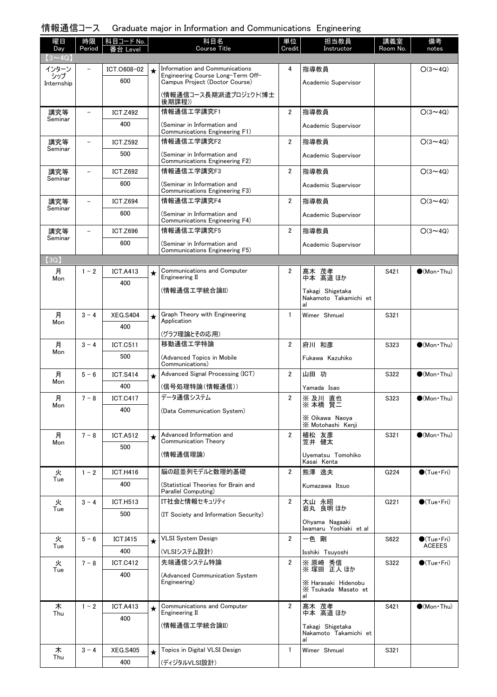### 情報通信コース Graduate major in Information and Communications Engineering

| 曜日                   | 時限             | 科目コード No.              |         | 科目名                                                                 | 単位             | 担当教員                                             | 講義室      | 備考                                   |
|----------------------|----------------|------------------------|---------|---------------------------------------------------------------------|----------------|--------------------------------------------------|----------|--------------------------------------|
| Day<br>$(3 \sim 4Q)$ | Period         | 番台 Level               |         | Course Title                                                        | Credit         | Instructor                                       | Room No. | notes                                |
| インターン                |                | ICT.0608-02            | $\star$ | Information and Communications                                      | 4              | 指導教員                                             |          | $O(3 \sim 4Q)$                       |
| シップ<br>Internship    |                | 600                    |         | Engineering Course Long-Term Off-<br>Campus Project (Doctor Course) |                | Academic Supervisor                              |          |                                      |
|                      |                |                        |         | (情報通信コース長期派遣プロジェクト(博士                                               |                |                                                  |          |                                      |
|                      |                | <b>ICT.Z492</b>        |         | 後期課程))<br>情報通信工学講究F1                                                | $\overline{2}$ | 指導教員                                             |          | $O(3 \sim 4Q)$                       |
| 講究等<br>Seminar       |                | 400                    |         | (Seminar in Information and                                         |                |                                                  |          |                                      |
|                      |                |                        |         | Communications Engineering F1)                                      |                | Academic Supervisor                              |          |                                      |
| 講究等<br>Seminar       |                | <b>ICT.Z592</b>        |         | 情報通信工学講究F2                                                          | $\overline{2}$ | 指導教員                                             |          | $O(3 \sim 4Q)$                       |
|                      |                | 500                    |         | (Seminar in Information and<br>Communications Engineering F2)       |                | Academic Supervisor                              |          |                                      |
| 講究等                  |                | <b>ICT.Z692</b>        |         | 情報通信工学講究F3                                                          | $\overline{2}$ | 指導教員                                             |          | $O(3 \sim 4Q)$                       |
| Seminar              |                | 600                    |         | (Seminar in Information and                                         |                | Academic Supervisor                              |          |                                      |
| 講究等                  | $\overline{a}$ | <b>ICT.Z694</b>        |         | Communications Engineering F3)<br>情報通信工学講究F4                        | $\overline{2}$ | 指導教員                                             |          | $O(3 \sim 4Q)$                       |
| Seminar              |                | 600                    |         | (Seminar in Information and                                         |                | Academic Supervisor                              |          |                                      |
|                      |                |                        |         | Communications Engineering F4)                                      |                |                                                  |          |                                      |
| 講究等<br>Seminar       |                | <b>ICT.Z696</b>        |         | 情報通信工学講究F5                                                          | $\overline{2}$ | 指導教員                                             |          | $O(3 \sim 4Q)$                       |
|                      |                | 600                    |         | (Seminar in Information and<br>Communications Engineering F5)       |                | Academic Supervisor                              |          |                                      |
| (3Q)                 |                |                        |         |                                                                     |                |                                                  |          |                                      |
| 月<br>Mon             | $1 - 2$        | <b>ICT.A413</b>        | $\star$ | <b>Communications and Computer</b><br>Engineering II                | 2              | 髙木 茂孝<br>中本 高道ほか                                 | S421     | $\bigcirc$ (Mon Thu)                 |
|                      |                | 400                    |         | (情報通信工学統合論II)                                                       |                |                                                  |          |                                      |
|                      |                |                        |         |                                                                     |                | Takagi Shigetaka<br>Nakamoto Takamichi et<br>al  |          |                                      |
| 月                    | $3 - 4$        | <b>XEG.S404</b>        | $\star$ | Graph Theory with Engineering                                       | $\mathbf{1}$   | Wimer Shmuel                                     | S321     |                                      |
| Mon                  |                | 400                    |         | Application                                                         |                |                                                  |          |                                      |
| 月                    | $3 - 4$        | <b>ICT.C511</b>        |         | (グラフ理論とその応用)<br>移動通信工学特論                                            | $\overline{2}$ | 府川 和彦                                            | S323     | $\bullet$ (Mon $\cdot$ Thu)          |
| Mon                  |                | 500                    |         | (Advanced Topics in Mobile                                          |                | Fukawa Kazuhiko                                  |          |                                      |
|                      |                |                        |         | Communications)                                                     |                |                                                  |          |                                      |
| 月<br>Mon             | $5 - 6$        | <b>ICT.S414</b>        | $\star$ | Advanced Signal Processing (ICT)                                    | $\overline{2}$ | 山田 功                                             | S322     | $\bullet$ (Mon $\cdot$ Thu)          |
|                      |                | 400                    |         | (信号処理特論(情報通信))                                                      |                | Yamada Isao                                      |          |                                      |
| 月<br>Mon             | $7 - 8$        | <b>ICT.C417</b>        |         | データ通信システム                                                           | $\overline{2}$ | ※ 及川 直也<br>※ 本橋 賢二                               | S323     | $\bullet$ (Mon Thu)                  |
|                      |                | 400                    |         | (Data Communication System)                                         |                | X Oikawa Naova                                   |          |                                      |
|                      |                |                        |         | Advanced Information and                                            |                | X Motohashi Kenji                                |          |                                      |
| 月<br>Mon             | $7 - 8$        | <b>ICT.A512</b>        | $\star$ | Communication Theory                                                | $\overline{2}$ | 植松 友彦<br>笠井 健太                                   | S321     | $\bullet$ (Mon Thu)                  |
|                      |                | 500                    |         | (情報通信理論)                                                            |                | Uyematsu Tomohiko                                |          |                                      |
|                      | $1 - 2$        |                        |         | 脳の超並列モデルと数理的基礎                                                      | $\overline{2}$ | Kasai Kenta<br>熊澤 逸夫                             |          |                                      |
| 火<br>Tue             |                | <b>ICT.H416</b><br>400 |         | (Statistical Theories for Brain and                                 |                |                                                  | G224     | $\bullet$ (Tue · Fri)                |
|                      |                |                        |         | Parallel Computing)                                                 |                | Kumazawa Itsuo                                   |          |                                      |
| 火<br>Tue             | $3 - 4$        | <b>ICT.H513</b>        |         | IT社会と情報セキュリティ                                                       | $\overline{2}$ | 大山 永昭<br>岩丸 良明 ほか                                | G221     | $\bullet$ (Tue•Fri)                  |
|                      |                | 500                    |         | (IT Society and Information Security)                               |                | Ohyama Nagaaki                                   |          |                                      |
|                      |                |                        |         |                                                                     |                | Iwamaru Yoshiaki et al                           |          |                                      |
| 火<br>Tue             | $5 - 6$        | <b>ICT.I415</b>        | $\star$ | VLSI System Design                                                  | $\overline{2}$ | 一色 剛                                             | S622     | $\bullet$ (Tue•Fri)<br><b>ACEEES</b> |
|                      |                | 400                    |         | (VLSIシステム設計)                                                        |                | Isshiki Tsuyoshi                                 |          |                                      |
| 火<br>Tue             | $7 - 8$        | <b>ICT.C412</b>        |         | 先端通信システム特論                                                          | $\overline{2}$ | ※ 原崎 秀信<br>※ 塚田 正人ほか                             | S322     | $\bigcirc$ (Tue · Fri)               |
|                      |                | 400                    |         | (Advanced Communication System<br>Engineering)                      |                | X Harasaki Hidenobu<br>X Tsukada Masato et<br>al |          |                                      |
| 木                    | $1 - 2$        | <b>ICT.A413</b>        | $\star$ | <b>Communications and Computer</b>                                  | $\overline{2}$ | 髙木 茂孝<br>中本 高道ほか                                 | S421     | $\bullet$ (Mon Thu)                  |
| Thu                  |                | 400                    |         | Engineering II                                                      |                |                                                  |          |                                      |
|                      |                |                        |         | (情報通信工学統合論II)                                                       |                | Takagi Shigetaka<br>Nakamoto Takamichi et<br>al  |          |                                      |
| 木                    | $3 - 4$        | <b>XEG.S405</b>        | $\star$ | Topics in Digital VLSI Design                                       | $\mathbf{1}$   | Wimer Shmuel                                     | S321     |                                      |
| Thu                  |                | 400                    |         | (ディジタルVLSI設計)                                                       |                |                                                  |          |                                      |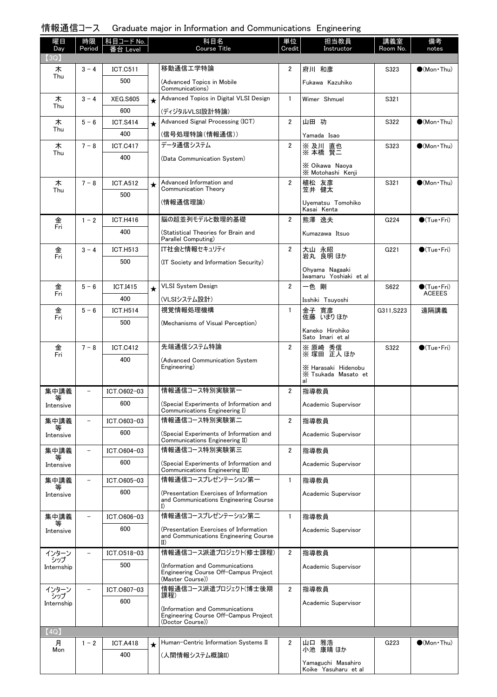| 情報通信コース Graduate major in Information and Communications Engineering |  |
|----------------------------------------------------------------------|--|
|----------------------------------------------------------------------|--|

| 曜日                | 時限                       | 科目コード No.       |         | 科目名<br><b>Course Title</b>                                                                                  | 単位<br>Credit   | 担当教員                                             | 講義室        | 備考                     |
|-------------------|--------------------------|-----------------|---------|-------------------------------------------------------------------------------------------------------------|----------------|--------------------------------------------------|------------|------------------------|
| Day<br>(3Q)       | Period                   | 台<br>Level      |         |                                                                                                             |                | Instructor                                       | Room No.   | notes                  |
| 木                 | $3 - 4$                  | <b>ICT.C511</b> |         | 移動通信工学特論                                                                                                    | 2              | 府川 和彦                                            | S323       | $\bullet$ (Mon Thu)    |
| Thu               |                          | 500             |         | (Advanced Topics in Mobile<br>Communications)                                                               |                | Fukawa Kazuhiko                                  |            |                        |
| 木                 | $3 - 4$                  | <b>XEG.S605</b> | $\star$ | Advanced Topics in Digital VLSI Design                                                                      | $\mathbf{1}$   | Wimer Shmuel                                     | S321       |                        |
| Thu               |                          | 600             |         | (ディジタルVLSI設計特論)                                                                                             |                |                                                  |            |                        |
| 木<br>Thu          | $5 - 6$                  | <b>ICT.S414</b> | $\star$ | Advanced Signal Processing (ICT)                                                                            | $\overline{2}$ | 山田 功                                             | S322       | $\bigcirc$ (Mon Thu)   |
|                   |                          | 400             |         | (信号処理特論(情報通信))                                                                                              |                | Yamada Isao                                      |            |                        |
| 木<br>Thu          | $7 - 8$                  | <b>ICT.C417</b> |         | データ通信システム                                                                                                   | $\overline{2}$ | ※及川 直也<br>※本橋 賢三                                 | S323       | $\bullet$ (Mon Thu)    |
|                   |                          | 400             |         | (Data Communication System)                                                                                 |                | X Oikawa Naoya<br>X Motohashi Kenji              |            |                        |
| 木<br>Thu          | $7 - 8$                  | <b>ICT.A512</b> | $\star$ | Advanced Information and<br>Communication Theory                                                            | $\overline{2}$ | 植松 友彦<br>笠井 健太                                   | S321       | $\bigcirc$ (Mon Thu)   |
|                   |                          | 500             |         | (情報通信理論)                                                                                                    |                | Uvematsu Tomohiko                                |            |                        |
|                   |                          |                 |         |                                                                                                             |                | Kasai Kenta                                      |            |                        |
| 金<br>Fri          | $1 - 2$                  | <b>ICT.H416</b> |         | 脳の超並列モデルと数理的基礎                                                                                              | $\overline{2}$ | 熊澤 逸夫                                            | G224       | $\bigcirc$ (Tue·Fri)   |
|                   |                          | 400             |         | (Statistical Theories for Brain and<br>Parallel Computing)                                                  |                | Kumazawa Itsuo                                   |            |                        |
| 金<br>Fri          | $3 - 4$                  | ICT.H513        |         | IT社会と情報セキュリティ                                                                                               | 2              | 大山 永昭<br>岩丸 良明 ほか                                | G221       | $\bigcirc$ (Tue · Fri) |
|                   |                          | 500             |         | (IT Society and Information Security)                                                                       |                | Ohyama Nagaaki<br>Iwamaru Yoshiaki et al         |            |                        |
| 金                 | $5 - 6$                  | <b>ICT.I415</b> | $\star$ | <b>VLSI System Design</b>                                                                                   | 2              | 一色 剛                                             | S622       | $\bigcirc$ (Tue·Fri)   |
| Fri               |                          | 400             |         | (VLSIシステム設計)                                                                                                |                | Isshiki Tsuyoshi                                 |            | <b>ACEEES</b>          |
| 金                 | $5 - 6$                  | <b>ICT.H514</b> |         | 視覚情報処理機構                                                                                                    | $\mathbf{1}$   | 金子 寛彦                                            | G311, S223 | 遠隔講義                   |
| Fri               |                          | 500             |         | (Mechanisms of Visual Perception)                                                                           |                | 佐藤 いまりほか                                         |            |                        |
|                   |                          |                 |         |                                                                                                             |                | Kaneko Hirohiko<br>Sato Imari et al              |            |                        |
| 金<br>Fri          | $7 - 8$                  | <b>ICT.C412</b> |         | 先端通信システム特論                                                                                                  | 2              | ※ 原崎 秀信<br>※ 塚田 正人ほか                             | S322       | $\bigcirc$ (Tue · Fri) |
|                   |                          | 400             |         | (Advanced Communication System<br>Engineering)                                                              |                | X Harasaki Hidenobu<br>X Tsukada Masato et<br>al |            |                        |
| 集中講義              |                          | ICT.0602-03     |         | 情報通信コース特別実験第一                                                                                               | $\overline{2}$ | 指導教員                                             |            |                        |
| 等<br>Intensive    |                          | 600             |         | (Special Experiments of Information and<br>Communications Engineering I)                                    |                | Academic Supervisor                              |            |                        |
| 集中講義              |                          | ICT.0603-03     |         | 情報通信コース特別実験第二                                                                                               | 2              | 指導教員                                             |            |                        |
| 等<br>Intensive    |                          | 600             |         | (Special Experiments of Information and<br>Communications Engineering II)                                   |                | Academic Supervisor                              |            |                        |
| 集中講義              | $\overline{\phantom{0}}$ | ICT.0604-03     |         | 情報通信コース特別実験第三                                                                                               | 2              | 指導教員                                             |            |                        |
| 等<br>Intensive    |                          | 600             |         | (Special Experiments of Information and<br>Communications Engineering III)                                  |                | Academic Supervisor                              |            |                        |
| 集中講義              |                          | ICT.0605-03     |         | 情報通信コースプレゼンテーション第一                                                                                          | $\mathbf{1}$   | 指導教員                                             |            |                        |
| Intensive         |                          | 600             |         | (Presentation Exercises of Information<br>and Communications Engineering Course<br>I)                       |                | Academic Supervisor                              |            |                        |
| 集中講義              |                          | ICT.0606-03     |         | 情報通信コースプレゼンテーション第二                                                                                          | $\mathbf{1}$   | 指導教員                                             |            |                        |
| Intensive         |                          | 600             |         | (Presentation Exercises of Information<br>and Communications Engineering Course<br>$\mathbf{I}(\mathbf{I})$ |                | Academic Supervisor                              |            |                        |
| インターン             |                          | ICT.0518-03     |         | 情報通信コース派遣プロジェクト(修士課程)                                                                                       | $\overline{2}$ | 指導教員                                             |            |                        |
| シップ<br>Internship |                          | 500             |         | Information and Communications)                                                                             |                | Academic Supervisor                              |            |                        |
|                   |                          |                 |         | Engineering Course Off-Campus Project<br>(Master Course))                                                   |                |                                                  |            |                        |
| インターン<br>シップ      |                          | ICT.0607-03     |         | 情報通信コース派遣プロジェクト(博士後期<br>課程)                                                                                 | 2              | 指導教員                                             |            |                        |
| Internship        |                          | 600             |         | Information and Communications)<br>Engineering Course Off-Campus Project<br>(Doctor Course))                |                | Academic Supervisor                              |            |                        |
| (4Q)              |                          |                 |         |                                                                                                             |                |                                                  |            |                        |
| 月<br>Mon          | $1 - 2$                  | <b>ICT.A418</b> | $\star$ | Human-Centric Information Systems II                                                                        | 2              | 山口 雅浩<br>小池 康晴 ほか                                | G223       | $\bigcirc$ (Mon Thu)   |
|                   |                          | 400             |         | (人間情報システム概論II)                                                                                              |                | Yamaguchi Masahiro<br>Koike Yasuharu et al       |            |                        |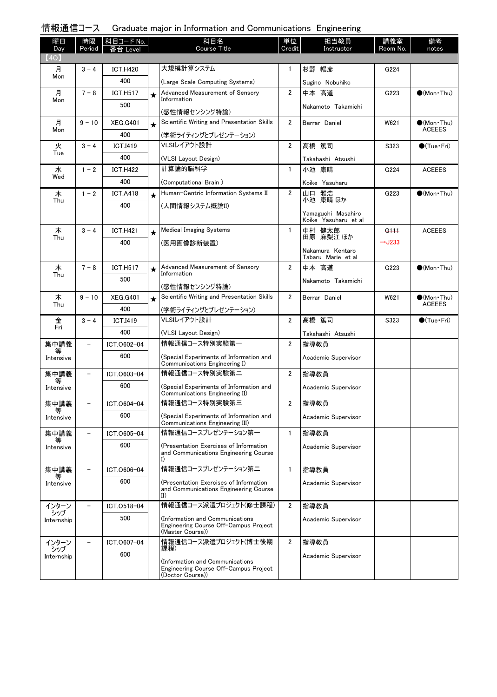# 情報通信コース Graduate major in Information and Communications Engineering

| 曜日<br>Day         | 時限<br>Period      | 科目コード No.<br>番台 Level |          | 科目名<br><b>Course Title</b>                                                                   | 単位<br>Credit   | 担当教員<br>Instructor   | 講義室<br>Room No.    | 備考<br>notes                          |
|-------------------|-------------------|-----------------------|----------|----------------------------------------------------------------------------------------------|----------------|----------------------|--------------------|--------------------------------------|
| (4Q)              |                   |                       |          |                                                                                              |                |                      |                    |                                      |
| 月                 | $3 - 4$           | <b>ICT.H420</b>       |          | 大規模計算システム                                                                                    | 1              | 杉野 暢彦                | G224               |                                      |
| Mon               |                   | 400                   |          | (Large Scale Computing Systems)                                                              |                | Sugino Nobuhiko      |                    |                                      |
| 月                 | $7 - 8$           | <b>ICT.H517</b>       | ★        | Advanced Measurement of Sensory                                                              | $\overline{2}$ | 中本 高道                | G223               | $\bigcirc$ (Mon Thu)                 |
| Mon               |                   | 500                   |          | Information                                                                                  |                | Nakamoto Takamichi   |                    |                                      |
|                   |                   |                       |          | (感性情報センシング特論)                                                                                |                |                      |                    |                                      |
| 月<br>Mon          | $9 - 10$          | <b>XEG.G401</b>       | $\star$  | Scientific Writing and Presentation Skills                                                   | $\overline{2}$ | Berrar Daniel        | W621               | $\bullet$ (Mon•Thu)<br><b>ACEEES</b> |
|                   |                   | 400                   |          | (学術ライティングとプレゼンテーション)<br>VLSIレイアウト設計                                                          | $\overline{2}$ | 髙橋 篤司                |                    |                                      |
| 火<br>Tue          | $3 - 4$           | <b>ICT.I419</b>       |          |                                                                                              |                |                      | S323               | $\bigcirc$ (Tue · Fri)               |
|                   |                   | 400                   |          | (VLSI Layout Design)<br>計算論的脳科学                                                              |                | Takahashi Atsushi    |                    |                                      |
| 水<br>Wed          | $1 - 2$           | <b>ICT.H422</b>       |          |                                                                                              | $\mathbf{1}$   | 小池 康晴                | G224               | <b>ACEEES</b>                        |
|                   |                   | 400                   |          | (Computational Brain)                                                                        |                | Koike Yasuharu       |                    |                                      |
| 木<br>Thu          | $1 - 2$           | <b>ICT.A418</b>       | $\star$  | Human-Centric Information Systems II                                                         | $\overline{2}$ | 山口 雅浩<br>小池 康晴 ほか    | G223               | $\bullet$ (Mon•Thu)                  |
|                   |                   | 400                   |          | (人間情報システム概論II)                                                                               |                | Yamaguchi Masahiro   |                    |                                      |
|                   |                   |                       |          |                                                                                              |                | Koike Yasuharu et al |                    |                                      |
| 木<br>Thu          | $3 - 4$           | <b>ICT.H421</b>       | $^\star$ | <b>Medical Imaging Systems</b>                                                               | $\mathbf{1}$   | 中村 健太郎<br>田原 麻梨江 ほか  | <del>G111</del>    | <b>ACEEES</b>                        |
|                   |                   | 400                   |          | (医用画像診断装置)                                                                                   |                | Nakamura Kentaro     | $\rightarrow$ J233 |                                      |
|                   |                   |                       |          |                                                                                              |                | Tabaru Marie et al   |                    |                                      |
| 木<br>Thu          | $7 - 8$           | <b>ICT.H517</b>       | $\star$  | Advanced Measurement of Sensory<br>Information                                               | $\overline{2}$ | 中本 高道                | G223               | $\bullet$ (Mon Thu)                  |
|                   |                   | 500                   |          | (感性情報センシング特論)                                                                                |                | Nakamoto Takamichi   |                    |                                      |
| 木                 | $9 - 10$          | <b>XEG.G401</b>       | $\star$  | Scientific Writing and Presentation Skills                                                   | $\overline{2}$ | Berrar Daniel        | W621               | $(Mon\cdot Thu)$                     |
| Thu               |                   | 400                   |          | (学術ライティングとプレゼンテーション)                                                                         |                |                      |                    | <b>ACEEES</b>                        |
| 金                 | $3 - 4$           | <b>ICT.I419</b>       |          | VLSIレイアウト設計                                                                                  | $\overline{2}$ | 髙橋 篤司                | S323               | $\bullet$ (Tue•Fri)                  |
| Fri               |                   | 400                   |          | (VLSI Layout Design)                                                                         |                | Takahashi Atsushi    |                    |                                      |
| 集中講義              | $\qquad \qquad -$ | ICT.0602-04           |          | 情報通信コース特別実験第一                                                                                | $\overline{2}$ | 指導教員                 |                    |                                      |
| 等                 |                   | 600                   |          | (Special Experiments of Information and                                                      |                | Academic Supervisor  |                    |                                      |
| Intensive         |                   |                       |          | Communications Engineering I)                                                                |                |                      |                    |                                      |
| 集中講義<br>等         | $\qquad \qquad -$ | ICT.0603-04           |          | 情報通信コース特別実験第二                                                                                | $\overline{2}$ | 指導教員                 |                    |                                      |
| Intensive         |                   | 600                   |          | (Special Experiments of Information and<br>Communications Engineering II)                    |                | Academic Supervisor  |                    |                                      |
| 集中講義<br>等         |                   | ICT.0604-04           |          | 情報通信コース特別実験第三                                                                                | $\overline{2}$ | 指導教員                 |                    |                                      |
| Intensive         |                   | 600                   |          | (Special Experiments of Information and<br>Communications Engineering III)                   |                | Academic Supervisor  |                    |                                      |
| 集中講義              |                   | ICT.0605-04           |          | 情報通信コースプレゼンテーション第一                                                                           | $\mathbf{1}$   | 指導教員                 |                    |                                      |
| 等<br>Intensive    |                   | 600                   |          | (Presentation Exercises of Information<br>and Communications Engineering Course<br>I)        |                | Academic Supervisor  |                    |                                      |
| 集中講義              |                   | ICT.0606-04           |          | 情報通信コースプレゼンテーション第二                                                                           | $\mathbf{1}$   | 指導教員                 |                    |                                      |
| Intensive         |                   | 600                   |          | (Presentation Exercises of Information                                                       |                | Academic Supervisor  |                    |                                      |
|                   |                   |                       |          | and Communications Engineering Course<br>II)                                                 |                |                      |                    |                                      |
| インターン             |                   | ICT.0518-04           |          | 情報通信コース派遣プロジェクト(修士課程)                                                                        | $\overline{2}$ | 指導教員                 |                    |                                      |
| シップ<br>Internship |                   | 500                   |          | (Information and Communications<br>Engineering Course Off-Campus Project                     |                | Academic Supervisor  |                    |                                      |
| インターン             |                   | ICT.0607-04           |          | (Master Course))<br>情報通信コース派遣プロジェクト(博士後期                                                     | $\overline{2}$ | 指導教員                 |                    |                                      |
| シップ               |                   | 600                   |          | 課程)                                                                                          |                |                      |                    |                                      |
| Internship        |                   |                       |          | (Information and Communications<br>Engineering Course Off-Campus Project<br>(Doctor Course)) |                | Academic Supervisor  |                    |                                      |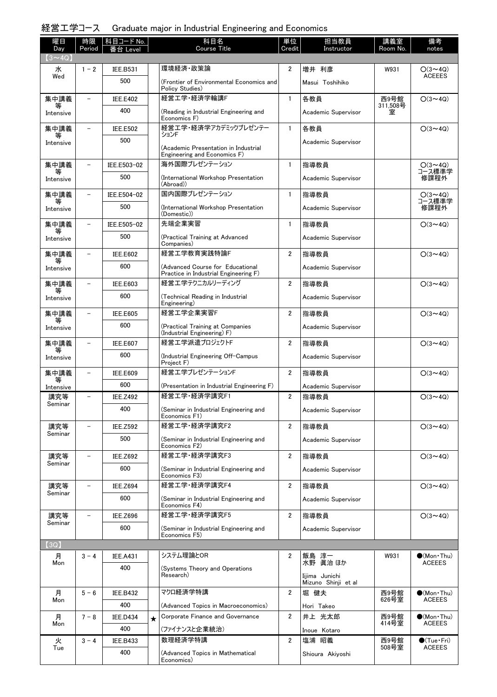# 経営工学コース Graduate major in Industrial Engineering and Economics

| 曜日<br>Day      | 時限<br>Period             | <b>科目コード No.</b><br>番台 Level |         | 科目名<br>Course Title                                                       | 単位<br>Credit   | 担当教員<br>Instructor                    | 講義室<br>Room No.  | 備考<br>notes                          |
|----------------|--------------------------|------------------------------|---------|---------------------------------------------------------------------------|----------------|---------------------------------------|------------------|--------------------------------------|
| $(3 \sim 4Q)$  |                          |                              |         |                                                                           |                |                                       |                  |                                      |
| 水              | $1 - 2$                  | <b>IEE.B531</b>              |         | 環境経済·政策論                                                                  | $\overline{2}$ | 増井 利彦                                 | W931             | $O(3 \sim 4Q)$<br><b>ACEEES</b>      |
| Wed            |                          | 500                          |         | (Frontier of Environmental Economics and<br>Policy Studies)               |                | Masui Toshihiko                       |                  |                                      |
| 集中講義           |                          | <b>IEE.E402</b>              |         | 経営工学·経済学輪講F                                                               | $\mathbf{1}$   | 各教員                                   | 西9号館<br>311,508号 | $O(3 \sim 4Q)$                       |
| Intensive      |                          | 400                          |         | (Reading in Industrial Engineering and<br>Economics F)                    |                | Academic Supervisor                   | 室                |                                      |
| 集中講義<br>等      |                          | <b>IEE.E502</b>              |         | 経営工学・経済学アカデミックプレゼンテー<br>ションF                                              | $\mathbf{1}$   | 各教員                                   |                  | $O(3 \sim 4Q)$                       |
| Intensive      |                          | 500                          |         | (Academic Presentation in Industrial                                      |                | Academic Supervisor                   |                  |                                      |
|                |                          |                              |         | Engineering and Economics F)                                              |                |                                       |                  |                                      |
| 集中講義           |                          | IEE.E503-02                  |         | 海外国際プレゼンテーション                                                             | $\mathbf{1}$   | 指導教員                                  |                  | O(3~4Q)<br>コース標準学                    |
| Intensive      |                          | 500                          |         | (International Workshop Presentation<br>(Abroad))                         |                | Academic Supervisor                   |                  | 修課程外                                 |
| 集中講義           | $\overline{\phantom{0}}$ | IEE.E504-02                  |         | 国内国際プレゼンテーション                                                             | $\mathbf{1}$   | 指導教員                                  |                  | $O(3 \sim 4Q)$<br>コース標準学             |
| Intensive      |                          | 500                          |         | (International Workshop Presentation<br>(Domestic))                       |                | Academic Supervisor                   |                  | 修課程外                                 |
| 集中講義           | $\overline{\phantom{0}}$ | IEE.E505-02                  |         | 先端企業実習                                                                    | $\mathbf{1}$   | 指導教員                                  |                  | $O(3 \sim 4Q)$                       |
| Intensive      |                          | 500                          |         | (Practical Training at Advanced<br>Companies)                             |                | Academic Supervisor                   |                  |                                      |
| 集中講義<br>等      | $\overline{\phantom{0}}$ | <b>IEE.E602</b>              |         | 経営工学教育実践特論F                                                               | $\overline{2}$ | 指導教員                                  |                  | $O(3 \sim 4Q)$                       |
| Intensive      |                          | 600                          |         | (Advanced Course for Educational<br>Practice in Industrial Engineering F) |                | Academic Supervisor                   |                  |                                      |
| 集中講義<br>等      | $\overline{\phantom{0}}$ | <b>IEE.E603</b>              |         | 経営エ学テクニカルリーディング                                                           | $\overline{2}$ | 指導教員                                  |                  | $O(3 \sim 4Q)$                       |
| Intensive      |                          | 600                          |         | (Technical Reading in Industrial<br>Engineering)                          |                | Academic Supervisor                   |                  |                                      |
| 集中講義<br>等      | $\overline{\phantom{0}}$ | <b>IEE.E605</b>              |         | 経営工学企業実習F                                                                 | $\overline{2}$ | 指導教員                                  |                  | $O(3 \sim 4Q)$                       |
| Intensive      |                          | 600                          |         | (Practical Training at Companies<br>(Industrial Engineering) F)           |                | Academic Supervisor                   |                  |                                      |
| 集中講義<br>等      |                          | <b>IEE.E607</b>              |         | 経営エ学派遣プロジェクトF                                                             | $\overline{2}$ | 指導教員                                  |                  | $O(3 \sim 4Q)$                       |
| Intensive      |                          | 600                          |         | (Industrial Engineering Off-Campus<br>Project F)                          |                | Academic Supervisor                   |                  |                                      |
| 集中講義<br>等      |                          | <b>IEE.E609</b>              |         | 経営エ学プレゼンテーションF                                                            | $\mathbf{2}$   | 指導教員                                  |                  | $O(3 \sim 4Q)$                       |
| Intensive      |                          | 600                          |         | (Presentation in Industrial Engineering F)                                |                | Academic Supervisor                   |                  |                                      |
| 講究等<br>Seminar | $\overline{\phantom{0}}$ | <b>IEE.Z492</b>              |         | 経営工学・経済学講究F1                                                              | $\overline{2}$ | 指導教員                                  |                  | $O(3 \sim 4Q)$                       |
|                |                          | 400                          |         | (Seminar in Industrial Engineering and<br>Economics F1)                   |                | Academic Supervisor                   |                  |                                      |
| 講究等<br>Seminar |                          | <b>IEE.Z592</b>              |         | 経営工学·経済学講究F2                                                              | $\overline{2}$ | 指導教員                                  |                  | $O(3 \sim 4Q)$                       |
|                |                          | 500                          |         | (Seminar in Industrial Engineering and<br>Economics F2)                   |                | Academic Supervisor                   |                  |                                      |
| 講究等<br>Seminar |                          | <b>IEE.Z692</b>              |         | 経営工学·経済学講究F3                                                              | $\overline{2}$ | 指導教員                                  |                  | $O(3 \sim 4Q)$                       |
|                |                          | 600                          |         | (Seminar in Industrial Engineering and<br>Economics F3)                   |                | Academic Supervisor                   |                  |                                      |
| 講究等<br>Seminar |                          | <b>IEE.Z694</b>              |         | 経営工学·経済学講究F4                                                              | $\overline{2}$ | 指導教員                                  |                  | $O(3 \sim 4Q)$                       |
|                |                          | 600                          |         | (Seminar in Industrial Engineering and<br>Economics F4)                   |                | Academic Supervisor                   |                  |                                      |
| 講究等<br>Seminar |                          | <b>IEE.Z696</b>              |         | 経営工学·経済学講究F5                                                              | $\overline{2}$ | 指導教員                                  |                  | $O(3 \sim 4Q)$                       |
|                |                          | 600                          |         | (Seminar in Industrial Engineering and<br>Economics F5)                   |                | Academic Supervisor                   |                  |                                      |
| (3Q)           |                          |                              |         |                                                                           |                |                                       |                  |                                      |
| 月<br>Mon       | $3 - 4$                  | <b>IEE.A431</b>              |         | システム理論とOR                                                                 | 2              | 飯島 淳一<br>水野 眞治ほか                      | W931             | $(Mon\cdot Thu)$<br><b>ACEEES</b>    |
|                |                          | 400                          |         | (Systems Theory and Operations<br>Research)                               |                | Iijima Junichi<br>Mizuno Shinji et al |                  |                                      |
| 月              | $5 - 6$                  | <b>IEE.B432</b>              |         | マクロ経済学特講                                                                  | $\overline{2}$ | 堀 健夫                                  | 西9号館<br>626号室    | $\bullet$ (Mon Thu)                  |
| Mon            |                          | 400                          |         | (Advanced Topics in Macroeconomics)                                       |                | Hori Takeo                            |                  | <b>ACEEES</b>                        |
| 月              | $7 - 8$                  | <b>IEE.D434</b>              | $\star$ | Corporate Finance and Governance                                          | $\overline{2}$ | 井上 光太郎                                | 西9号館<br>414号室    | $\bullet$ (Mon Thu)                  |
| Mon            |                          | 400                          |         | (ファイナンスと企業統治)                                                             |                | Inoue Kotaro                          |                  | <b>ACEEES</b>                        |
| 火              | $3 - 4$                  | <b>IEE.B433</b>              |         | 数理経済学特講                                                                   | $\overline{2}$ | 塩浦 昭義                                 | 西9号館<br>508号室    | $\bullet$ (Tue•Fri)<br><b>ACEEES</b> |
| Tue            |                          | 400                          |         | (Advanced Topics in Mathematical<br>Economics)                            |                | Shioura Akiyoshi                      |                  |                                      |